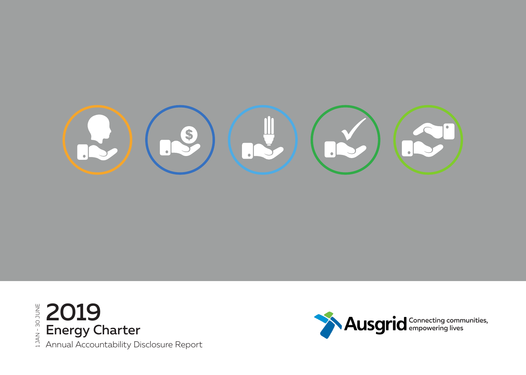



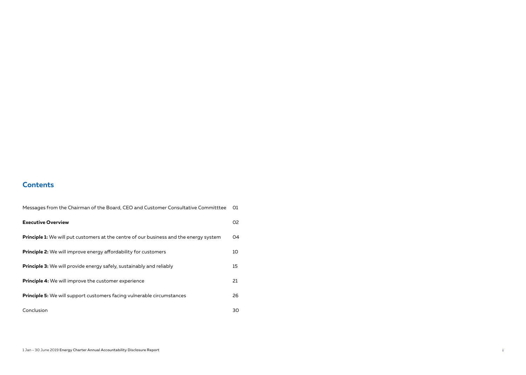### **Contents**

| Messages from the Chairman of the Board, CEO and Customer Consultative Committtee             | O1 |
|-----------------------------------------------------------------------------------------------|----|
| <b>Executive Overview</b>                                                                     | 02 |
| <b>Principle 1:</b> We will put customers at the centre of our business and the energy system | 04 |
| <b>Principle 2:</b> We will improve energy affordability for customers                        | 10 |
| <b>Principle 3:</b> We will provide energy safely, sustainably and reliably                   | 15 |
| <b>Principle 4:</b> We will improve the customer experience                                   | 21 |
| <b>Principle 5:</b> We will support customers facing vulnerable circumstances                 | 26 |
| Conclusion                                                                                    | 30 |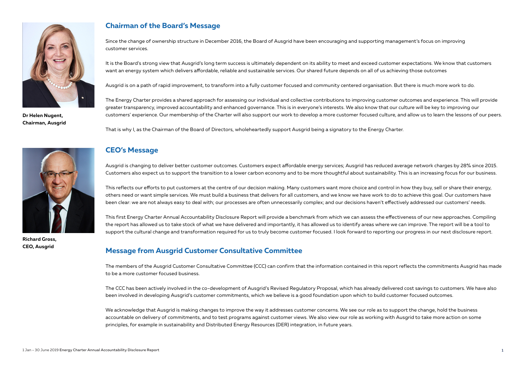

**Dr Helen Nugent, Chairman, Ausgrid**

### **Chairman of the Board's Message**

Since the change of ownership structure in December 2016, the Board of Ausgrid have been encouraging and supporting management's focus on improving customer services.

It is the Board's strong view that Ausgrid's long term success is ultimately dependent on its ability to meet and exceed customer expectations. We know that customers want an energy system which delivers affordable, reliable and sustainable services. Our shared future depends on all of us achieving those outcomes

Ausgrid is on a path of rapid improvement, to transform into a fully customer focused and community centered organisation. But there is much more work to do.

The Energy Charter provides a shared approach for assessing our individual and collective contributions to improving customer outcomes and experience. This will provide greater transparency, improved accountability and enhanced governance. This is in everyone's interests. We also know that our culture will be key to improving our customers' experience. Our membership of the Charter will also support our work to develop a more customer focused culture, and allow us to learn the lessons of our peers.

That is why I, as the Chairman of the Board of Directors, wholeheartedly support Ausgrid being a signatory to the Energy Charter.



**Richard Gross, CEO, Ausgrid**

### **CEO's Message**

Ausgrid is changing to deliver better customer outcomes. Customers expect affordable energy services; Ausgrid has reduced average network charges by 28% since 2015. Customers also expect us to support the transition to a lower carbon economy and to be more thoughtful about sustainability. This is an increasing focus for our business.

This reflects our efforts to put customers at the centre of our decision making. Many customers want more choice and control in how they buy, sell or share their energy, others need or want simple services. We must build a business that delivers for all customers, and we know we have work to do to achieve this goal. Our customers have been clear: we are not always easy to deal with; our processes are often unnecessarily complex; and our decisions haven't effectively addressed our customers' needs.

This first Energy Charter Annual Accountability Disclosure Report will provide a benchmark from which we can assess the effectiveness of our new approaches. Compiling the report has allowed us to take stock of what we have delivered and importantly, it has allowed us to identify areas where we can improve. The report will be a tool to support the cultural change and transformation required for us to truly become customer focused. I look forward to reporting our progress in our next disclosure report.

### **Message from Ausgrid Customer Consultative Committee**

The members of the Ausgrid Customer Consultative Committee (CCC) can confirm that the information contained in this report reflects the commitments Ausgrid has made to be a more customer focused business.

The CCC has been actively involved in the co-development of Ausgrid's Revised Regulatory Proposal, which has already delivered cost savings to customers. We have also been involved in developing Ausgrid's customer commitments, which we believe is a good foundation upon which to build customer focused outcomes.

We acknowledge that Ausgrid is making changes to improve the way it addresses customer concerns. We see our role as to support the change, hold the business accountable on delivery of commitments, and to test programs against customer views. We also view our role as working with Ausgrid to take more action on some principles, for example in sustainability and Distributed Energy Resources (DER) integration, in future years.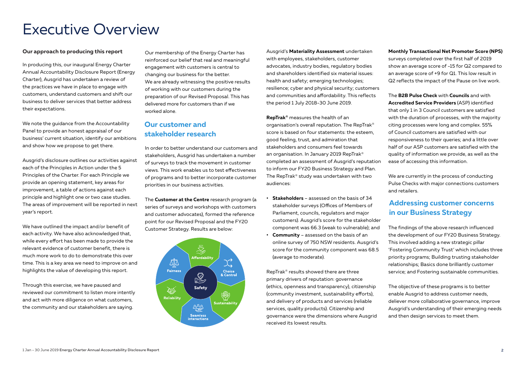# Executive Overview

#### **Our approach to producing this report**

In producing this, our inaugural Energy Charter Annual Accountability Disclosure Report (Energy Charter), Ausgrid has undertaken a review of the practices we have in place to engage with customers, understand customers and shift our business to deliver services that better address their expectations.

We note the guidance from the Accountability Panel to provide an honest appraisal of our business' current situation, identify our ambitions and show how we propose to get there.

Ausgrid's disclosure outlines our activities against each of the Principles in Action under the 5 Principles of the Charter. For each Principle we provide an opening statement, key areas for improvement, a table of actions against each principle and highlight one or two case studies. The areas of improvement will be reported in next year's report.

We have outlined the impact and/or benefit of each activity. We have also acknowledged that, while every effort has been made to provide the relevant evidence of customer benefit, there is much more work to do to demonstrate this over time. This is a key area we need to improve on and highlights the value of developing this report.

Through this exercise, we have paused and reviewed our commitment to listen more intently and act with more diligence on what customers, the community and our stakeholders are saying.

Our membership of the Energy Charter has reinforced our belief that real and meaningful engagement with customers is central to changing our business for the better. We are already witnessing the positive results of working with our customers during the preparation of our Revised Proposal. This has delivered more for customers than if we worked alone.

### **Our customer and stakeholder research**

In order to better understand our customers and stakeholders, Ausgrid has undertaken a number of surveys to track the movement in customer views. This work enables us to test effectiveness of programs and to better incorporate customer priorities in our business activities.

The **Customer at the Centre** research program (a series of surveys and workshops with customers and customer advocates), formed the reference point for our Revised Proposal and the FY20 Customer Strategy. Results are below:



Ausgrid's **Materiality Assessment** undertaken with employees, stakeholders, customer advocates, industry bodies, regulatory bodies and shareholders identified six material issues: health and safety; emerging technologies; resilience; cyber and physical security; customers and communities and affordability. This reflects the period 1 July 2018-30 June 2019.

**RepTrak®** measures the health of an organisation's overall reputation. The RepTrak® score is based on four statements: the esteem, good feeling, trust, and admiration that stakeholders and consumers feel towards an organisation. In January 2019 RepTrak® completed an assessment of Ausgrid's reputation to inform our FY20 Business Strategy and Plan. The RepTrak® study was undertaken with two audiences:

- **• Stakeholders** assessed on the basis of 34 stakeholder surveys (Offices of Members of Parliament, councils, regulators and major customers). Ausgrid's score for the stakeholder component was 66.3 (weak to vulnerable); and
- **• Community** assessed on the basis of an online survey of 750 NSW residents. Ausgrid's score for the community component was 68.5 (average to moderate).

RepTrak® results showed there are three primary drivers of reputation: governance (ethics, openness and transparency), citizenship (community investment, sustainability efforts), and delivery of products and services (reliable services, quality products). Citizenship and governance were the dimensions where Ausgrid received its lowest results.

### **Monthly Transactional Net Promoter Score (NPS)**  surveys completed over the first half of 2019 show an average score of -15 for Q2 compared to

an average score of +9 for Q1. This low result in Q2 reflects the impact of the Pause on live work.

The **B2B Pulse Check** with **Councils** and with **Accredited Service Providers** (ASP) identified that only 1 in 3 Council customers are satisfied with the duration of processes, with the majority citing processes were long and complex. 55% of Council customers are satisfied with our responsiveness to their queries; and a little over half of our ASP customers are satisfied with the quality of information we provide, as well as the ease of accessing this information.

We are currently in the process of conducting Pulse Checks with major connections customers and retailers.

### **Addressing customer concerns in our Business Strategy**

The findings of the above research influenced the development of our FY20 Business Strategy. This involved adding a new strategic pillar 'Fostering Community Trust' which includes three priority programs; Building trusting stakeholder relationships; Basics done brilliantly customer service; and Fostering sustainable communities.

The objective of these programs is to better enable Ausgrid to address customer needs, deliever more collaborative governance, improve Ausgrid's understanding of their emerging needs and then design services to meet them.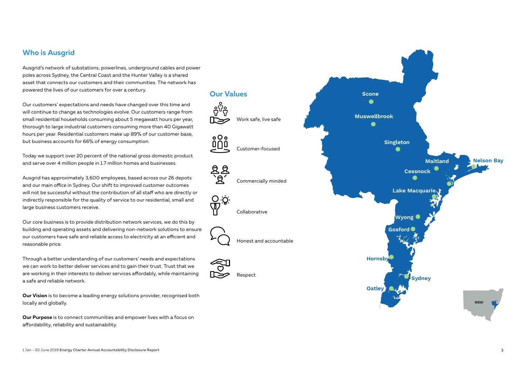### **Who is Ausgrid**

Ausgrid's network of substations, powerlines, underground cables and power poles across Sydney, the Central Coast and the Hunter Valley is a shared asset that connects our customers and their communities. The network has powered the lives of our customers for over a century.

ဗိုပ္မွန

 $000$ 

ৰি

<u>O o </u> **T** 

Our customers' expectations and needs have changed over this time and will continue to change as technologies evolve. Our customers range from small residential households consuming about 5 megawatt hours per year, thorough to large industrial customers consuming more than 40 Gigawatt hours per year. Residential customers make up 89% of our customer base, but business accounts for 66% of energy consumption.

Today we support over 20 percent of the national gross domestic product and serve over 4 million people in 1.7 million homes and businesses.

Ausgrid has approximately 3,600 employees, based across our 26 depots and our main office in Sydney. Our shift to improved customer outcomes will not be successful without the contribution of all staff who are directly or indirectly responsible for the quality of service to our residential, small and large business customers receive.

Our core business is to provide distribution network services, we do this by building and operating assets and delivering non-network solutions to ensure our customers have safe and reliable access to electricity at an efficient and reasonable price.

Through a better understanding of our customers' needs and expectations we can work to better deliver services and to gain their trust. Trust that we are working in their interests to deliver services affordably, while maintaining a safe and reliable network.

**Our Vision** is to become a leading energy solutions provider, recognised both locally and globally.

**Our Purpose** is to connect communities and empower lives with a focus on affordability, reliability and sustainability.

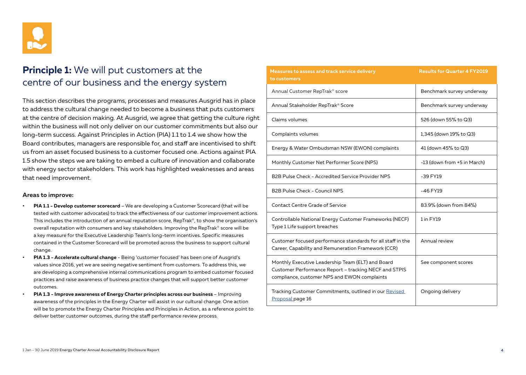

## **Principle 1:** We will put customers at the centre of our business and the energy system

This section describes the programs, processes and measures Ausgrid has in place to address the cultural change needed to become a business that puts customers at the centre of decision making. At Ausgrid, we agree that getting the culture right within the business will not only deliver on our customer commitments but also our long-term success. Against Principles in Action (PIA) 1.1 to 1.4 we show how the Board contributes, managers are responsible for, and staff are incentivised to shift us from an asset focused business to a customer focused one. Actions against PIA 1.5 show the steps we are taking to embed a culture of innovation and collaborate with energy sector stakeholders. This work has highlighted weaknesses and areas that need improvement.

#### **Areas to improve:**

- **• PIA 1.1 Develop customer scorecard** We are developing a Customer Scorecard (that will be tested with customer advocates) to track the effectiveness of our customer improvement actions. This includes the introduction of an annual reputation score, RepTrak®, to show the organisation's overall reputation with consumers and key stakeholders. Improving the RepTrak® score will be a key measure for the Executive Leadership Team's long-term incentives. Specific measures contained in the Customer Scorecard will be promoted across the business to support cultural change.
- **• PIA 1.3 Accelerate cultural change** Being 'customer focused' has been one of Ausgrid's values since 2016, yet we are seeing negative sentiment from customers. To address this, we are developing a comprehensive internal communications program to embed customer focused practices and raise awareness of business practice changes that will support better customer outcomes.
- **• PIA 1.3 Improve awareness of Energy Charter principles across our business**  Improving awareness of the principles in the Energy Charter will assist in our cultural change. One action will be to promote the Energy Charter Principles and Principles in Action, as a reference point to deliver better customer outcomes, during the staff performance review process.

| Measures to assess and track service delivery<br>to customers                                                                                              | <b>Results for Quarter 4 FY2019</b> |
|------------------------------------------------------------------------------------------------------------------------------------------------------------|-------------------------------------|
| Annual Customer RepTrak <sup>®</sup> score                                                                                                                 | Benchmark survey underway           |
| Annual Stakeholder RepTrak® Score                                                                                                                          | Benchmark survey underway           |
| Claims volumes                                                                                                                                             | 526 (down 55% to Q3)                |
| Complaints volumes                                                                                                                                         | 1,345 (down 19% to Q3)              |
| Energy & Water Ombudsman NSW (EWON) complaints                                                                                                             | 41 (down 45% to Q3)                 |
| Monthly Customer Net Performer Score (NPS)                                                                                                                 | -13 (down from +5 in March)         |
| B2B Pulse Check - Accredited Service Provider NPS                                                                                                          | $-39$ FY19                          |
| B2B Pulse Check - Council NPS                                                                                                                              | -46 FY19                            |
| <b>Contact Centre Grade of Service</b>                                                                                                                     | 83.9% (down from 84%)               |
| Controllable National Energy Customer Frameworks (NECF)<br>Type 1 Life support breaches                                                                    | 1 in FY19                           |
| Customer focused performance standards for all staff in the<br>Career, Capability and Remuneration Framework (CCR)                                         | Annual review                       |
| Monthly Executive Leadership Team (ELT) and Board<br>Customer Performance Report - tracking NECF and STPIS<br>compliance, customer NPS and EWON complaints | See component scores                |
| Tracking Customer Commitments, outlined in our Revised<br>Proposal page 16                                                                                 | Ongoing delivery                    |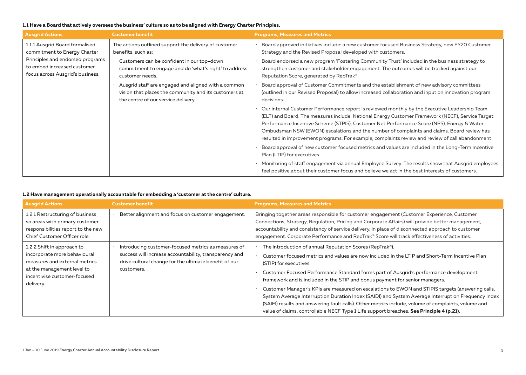### **1.1 Have a Board that actively oversees the business' culture so as to be aligned with Energy Charter Principles.**

| <b>Ausgrid Actions</b>                                                                              | <b>Customer benefit</b>                                                                                                                             | <b>Programs, Measures and Metrics</b>                                                                                                                                                                                                                                                                                                                                                                                                                                                             |
|-----------------------------------------------------------------------------------------------------|-----------------------------------------------------------------------------------------------------------------------------------------------------|---------------------------------------------------------------------------------------------------------------------------------------------------------------------------------------------------------------------------------------------------------------------------------------------------------------------------------------------------------------------------------------------------------------------------------------------------------------------------------------------------|
| 1.1.1 Ausgrid Board formalised<br>commitment to Energy Charter                                      | The actions outlined support the delivery of customer<br>benefits, such as:                                                                         | Board approved initiatives include: a new customer focused Business Strategy, new FY20 Customer<br>Strategy and the Revised Proposal developed with customers.                                                                                                                                                                                                                                                                                                                                    |
| Principles and endorsed programs<br>to embed increased customer<br>focus across Ausgrid's business. | Customers can be confident in our top-down<br>commitment to engage and do 'what's right' to address<br>customer needs.                              | Board endorsed a new program 'Fostering Community Trust' included in the business strategy to<br>strengthen customer and stakeholder engagement. The outcomes will be tracked against our<br>Reputation Score, generated by RepTrak <sup>®</sup> .                                                                                                                                                                                                                                                |
|                                                                                                     | Ausgrid staff are engaged and aligned with a common<br>vision that places the community and its customers at<br>the centre of our service delivery. | Board approval of Customer Commitments and the establishment of new advisory committees<br>(outlined in our Revised Proposal) to allow increased collaboration and input on innovation program<br>decisions.                                                                                                                                                                                                                                                                                      |
|                                                                                                     |                                                                                                                                                     | Our internal Customer Performance report is reviewed monthly by the Executive Leadership Team<br>(ELT) and Board. The measures include: National Energy Customer Framework (NECF), Service Target<br>Performance Incentive Scheme (STPIS), Customer Net Performance Score (NPS), Energy & Water<br>Ombudsman NSW (EWON) escalations and the number of complaints and claims. Board review has<br>resulted in improvement programs. For example, complaints review and review of call abandonment. |
|                                                                                                     |                                                                                                                                                     | Board approval of new customer focused metrics and values are included in the Long-Term Incentive<br>Plan (LTIP) for executives.                                                                                                                                                                                                                                                                                                                                                                  |
|                                                                                                     |                                                                                                                                                     | · Monitoring of staff engagement via annual Employee Survey. The results show that Ausgrid employees<br>feel positive about their customer focus and believe we act in the best interests of customers.                                                                                                                                                                                                                                                                                           |

### **1.2 Have management operationally accountable for embedding a 'customer at the centre' culture.**

| <b>Ausgrid Actions</b>                                                                                                                                                 | <b>Customer benefit</b>                                                                                                                                                              | <b>Programs, Measures and Metrics</b>                                                                                                                                                                                                                                                                                                                                                                                                                                                                                                                                                                                                                                                                                                                                                   |
|------------------------------------------------------------------------------------------------------------------------------------------------------------------------|--------------------------------------------------------------------------------------------------------------------------------------------------------------------------------------|-----------------------------------------------------------------------------------------------------------------------------------------------------------------------------------------------------------------------------------------------------------------------------------------------------------------------------------------------------------------------------------------------------------------------------------------------------------------------------------------------------------------------------------------------------------------------------------------------------------------------------------------------------------------------------------------------------------------------------------------------------------------------------------------|
| 1.2.1 Restructuring of business<br>so areas with primary customer<br>responsibilities report to the new<br>Chief Customer Officer role.                                | Better alignment and focus on customer engagement.                                                                                                                                   | Bringing together areas responsible for customer engagement (Customer Experience, Customer<br>Connections, Strategy, Regulation, Pricing and Corporate Affairs) will provide better management,<br>accountability and consistency of service delivery, in place of disconnected approach to customer<br>engagement. Corporate Performance and RepTrak® Score will track effectiveness of activities.                                                                                                                                                                                                                                                                                                                                                                                    |
| 1.2.2 Shift in approach to<br>incorporate more behavioural<br>measures and external metrics<br>at the management level to<br>incentivise customer-focused<br>delivery. | Introducing customer-focused metrics as measures of<br>success will increase accountability, transparency and<br>drive cultural change for the ultimate benefit of our<br>customers. | The introduction of annual Reputation Scores (RepTrak <sup>®</sup> ).<br>Customer focused metrics and values are now included in the LTIP and Short-Term Incentive Plan<br>(STIP) for executives.<br>Customer Focused Performance Standard forms part of Ausgrid's performance development<br>framework and is included in the STIP and bonus payment for senior managers.<br>Customer Manager's KPIs are measured on escalations to EWON and STIPIS targets (answering calls,<br>System Average Interruption Duration Index (SAIDI) and System Average Interruption Frequency Index<br>(SAIFI) results and answering fault calls). Other metrics include, volume of complaints, volume and<br>value of claims, controllable NECF Type 1 Life support breaches. See Principle 4 (p.21). |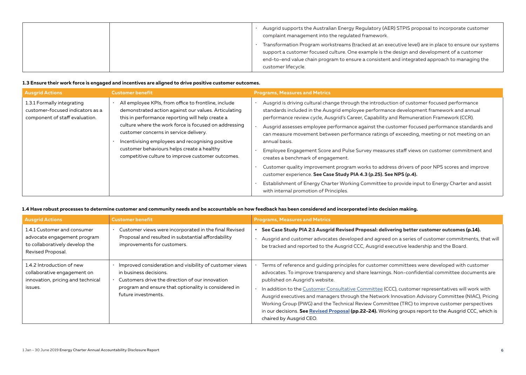| Ausgrid supports the Australian Energy Regulatory (AER) STPIS proposal to incorporate customer<br>complaint management into the regulated framework.                                                                |
|---------------------------------------------------------------------------------------------------------------------------------------------------------------------------------------------------------------------|
| Transformation Program workstreams (tracked at an executive level) are in place to ensure our systems                                                                                                               |
| support a customer focused culture. One example is the design and development of a customer<br>end-to-end value chain program to ensure a consistent and integrated approach to managing the<br>customer lifecycle. |

### **1.3 Ensure their work force is engaged and incentives are aligned to drive positive customer outcomes.**

| <b>Ausgrid Actions</b>                                                                           | <b>Customer benefit</b>                                                                                                                                                                                                                                                                                                                                                                                                    | <b>Programs, Measures and Metrics</b>                                                                                                                                                                                                                                                                                                                                                                                                                                                                                                                                                                                                                                                                                                                                                                                                                                                                                                                     |
|--------------------------------------------------------------------------------------------------|----------------------------------------------------------------------------------------------------------------------------------------------------------------------------------------------------------------------------------------------------------------------------------------------------------------------------------------------------------------------------------------------------------------------------|-----------------------------------------------------------------------------------------------------------------------------------------------------------------------------------------------------------------------------------------------------------------------------------------------------------------------------------------------------------------------------------------------------------------------------------------------------------------------------------------------------------------------------------------------------------------------------------------------------------------------------------------------------------------------------------------------------------------------------------------------------------------------------------------------------------------------------------------------------------------------------------------------------------------------------------------------------------|
| 1.3.1 Formally integrating<br>customer-focused indicators as a<br>component of staff evaluation. | All employee KPIs, from office to frontline, include<br>demonstrated action against our values. Articulating<br>this in performance reporting will help create a<br>culture where the work force is focused on addressing<br>customer concerns in service delivery.<br>Incentivising employees and recognising positive<br>customer behaviours helps create a healthy<br>competitive culture to improve customer outcomes. | Ausgrid is driving cultural change through the introduction of customer focused performance<br>standards included in the Ausgrid employee performance development framework and annual<br>performance review cycle, Ausgrid's Career, Capability and Remuneration Framework (CCR).<br>Ausgrid assesses employee performance against the customer focused performance standards and<br>can measure movement between performance ratings of exceeding, meeting or not meeting on an<br>annual basis.<br>Employee Engagement Score and Pulse Survey measures staff views on customer commitment and<br>creates a benchmark of engagement.<br>Customer quality improvement program works to address drivers of poor NPS scores and improve<br>customer experience. See Case Study PIA 4.3 (p.25). See NPS (p.4).<br>Establishment of Energy Charter Working Committee to provide input to Energy Charter and assist<br>with internal promotion of Principles. |

#### **1.4 Have robust processes to determine customer and community needs and be accountable on how feedback has been considered and incorporated into decision making.**

| <b>Ausgrid Actions</b>                                                                                            | <b>Customer benefit</b>                                                                                                                                                                                             | <b>Programs, Measures and Metrics</b>                                                                                                                                                                                                                                                                                                                                                                                                                                                                                                                                                                                                                                                |
|-------------------------------------------------------------------------------------------------------------------|---------------------------------------------------------------------------------------------------------------------------------------------------------------------------------------------------------------------|--------------------------------------------------------------------------------------------------------------------------------------------------------------------------------------------------------------------------------------------------------------------------------------------------------------------------------------------------------------------------------------------------------------------------------------------------------------------------------------------------------------------------------------------------------------------------------------------------------------------------------------------------------------------------------------|
| 1.4.1 Customer and consumer<br>advocate engagement program<br>to collaboratively develop the<br>Revised Proposal. | Customer views were incorporated in the final Revised<br>Proposal and resulted in substantial affordability<br>improvements for customers.                                                                          | See Case Study PIA 2:1 Ausgrid Revised Proposal: delivering better customer outcomes (p.14).<br>Ausgrid and customer advocates developed and agreed on a series of customer commitments, that will<br>be tracked and reported to the Ausgrid CCC, Ausgrid executive leadership and the Board.                                                                                                                                                                                                                                                                                                                                                                                        |
| 1.4.2 Introduction of new<br>collaborative engagement on<br>innovation, pricing and technical<br>issues.          | Improved consideration and visibility of customer views<br>in business decisions.<br>Customers drive the direction of our innovation<br>program and ensure that optionality is considered in<br>future investments. | Terms of reference and guiding principles for customer committees were developed with customer<br>advocates. To improve transparency and share learnings. Non-confidential committee documents are<br>published on Ausgrid's website.<br>In addition to the Customer Consultative Committee (CCC), customer representatives will work with<br>Ausgrid executives and managers through the Network Innovation Advisory Committee (NIAC), Pricing<br>Working Group (PWG) and the Technical Review Committee (TRC) to improve customer perspectives<br>in our decisions. See Revised Proposal (pp.22-24). Working groups report to the Ausgrid CCC, which is<br>chaired by Ausgrid CEO. |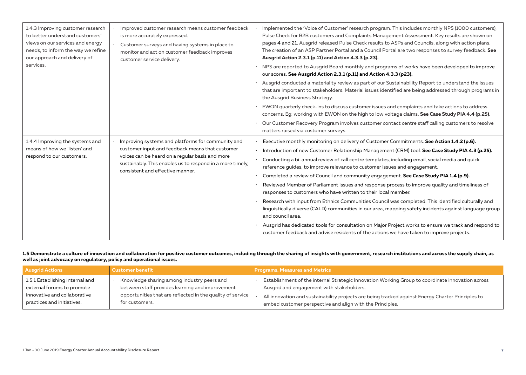| 1.4.3 Improving customer research<br>to better understand customers'<br>views on our services and energy<br>needs, to inform the way we refine<br>our approach and delivery of | Improved customer research means customer feedback<br>is more accurately expressed.<br>Customer surveys and having systems in place to<br>monitor and act on customer feedback improves<br>customer service delivery. | Implemented the 'Voice of Customer' research program. This includes monthly NPS (1000 customers),<br>Pulse Check for B2B customers and Complaints Management Assessment. Key results are shown on<br>pages 4 and 21. Ausgrid released Pulse Check results to ASPs and Councils, along with action plans.<br>The creation of an ASP Partner Portal and a Council Portal are two responses to survey feedback. See<br>Ausgrid Action 2.3.1 (p.11) and Action 4.3.3 (p.23). |
|--------------------------------------------------------------------------------------------------------------------------------------------------------------------------------|-----------------------------------------------------------------------------------------------------------------------------------------------------------------------------------------------------------------------|--------------------------------------------------------------------------------------------------------------------------------------------------------------------------------------------------------------------------------------------------------------------------------------------------------------------------------------------------------------------------------------------------------------------------------------------------------------------------|
| services.                                                                                                                                                                      |                                                                                                                                                                                                                       | NPS are reported to Ausgrid Board monthly and programs of works have been developed to improve<br>our scores. See Ausgrid Action 2.3.1 (p.11) and Action 4.3.3 (p23).                                                                                                                                                                                                                                                                                                    |
|                                                                                                                                                                                |                                                                                                                                                                                                                       | Ausgrid conducted a materiality review as part of our Sustainability Report to understand the issues<br>that are important to stakeholders. Material issues identified are being addressed through programs in<br>the Ausgrid Business Strategy.                                                                                                                                                                                                                         |
|                                                                                                                                                                                |                                                                                                                                                                                                                       | EWON quarterly check-ins to discuss customer issues and complaints and take actions to address<br>concerns. Eg: working with EWON on the high to low voltage claims. See Case Study PIA 4.4 (p.25).                                                                                                                                                                                                                                                                      |
|                                                                                                                                                                                |                                                                                                                                                                                                                       | Our Customer Recovery Program involves customer contact centre staff calling customers to resolve<br>matters raised via customer surveys.                                                                                                                                                                                                                                                                                                                                |
| 1.4.4 Improving the systems and<br>means of how we 'listen' and                                                                                                                | Improving systems and platforms for community and<br>customer input and feedback means that customer                                                                                                                  | Executive monthly monitoring on delivery of Customer Commitments. See Action 1.4.2 (p.6).<br>Introduction of new Customer Relationship Management (CRM) tool. See Case Study PIA 4.3 (p.25).                                                                                                                                                                                                                                                                             |
| voices can be heard on a regular basis and more<br>respond to our customers.<br>sustainably. This enables us to respond in a more timely,<br>consistent and effective manner.  | Conducting a bi-annual review of call centre templates, including email, social media and quick<br>reference guides, to improve relevance to customer issues and engagement.                                          |                                                                                                                                                                                                                                                                                                                                                                                                                                                                          |
|                                                                                                                                                                                | Completed a review of Council and community engagement. See Case Study PIA 1.4 (p.9).                                                                                                                                 |                                                                                                                                                                                                                                                                                                                                                                                                                                                                          |
|                                                                                                                                                                                |                                                                                                                                                                                                                       | Reviewed Member of Parliament issues and response process to improve quality and timeliness of<br>responses to customers who have written to their local member.                                                                                                                                                                                                                                                                                                         |
|                                                                                                                                                                                |                                                                                                                                                                                                                       | Research with input from Ethnics Communities Council was completed. This identified culturally and<br>linguistically diverse (CALD) communities in our area, mapping safety incidents against language group<br>and council area.                                                                                                                                                                                                                                        |
|                                                                                                                                                                                |                                                                                                                                                                                                                       | Ausgrid has dedicated tools for consultation on Major Project works to ensure we track and respond to<br>customer feedback and advise residents of the actions we have taken to improve projects.                                                                                                                                                                                                                                                                        |

**1.5 Demonstrate a culture of innovation and collaboration for positive customer outcomes, including through the sharing of insights with government, research institutions and across the supply chain, as well as joint advocacy on regulatory, policy and operational issues.** 

| <b>Ausgrid Actions</b>          | <b>Customer benefit</b>                                    | <b>Programs, Measures and Metrics</b>                                                             |
|---------------------------------|------------------------------------------------------------|---------------------------------------------------------------------------------------------------|
| 1.5.1 Establishing internal and | Knowledge sharing among industry peers and                 | Establishment of the internal Strategic Innovation Working Group to coordinate innovation across  |
| external forums to promote      | between staff provides learning and improvement            | Ausgrid and engagement with stakeholders.                                                         |
| innovative and collaborative    | opportunities that are reflected in the quality of service | All innovation and sustainability projects are being tracked against Energy Charter Principles to |
| practices and initiatives.      | for customers.                                             | embed customer perspective and align with the Principles.                                         |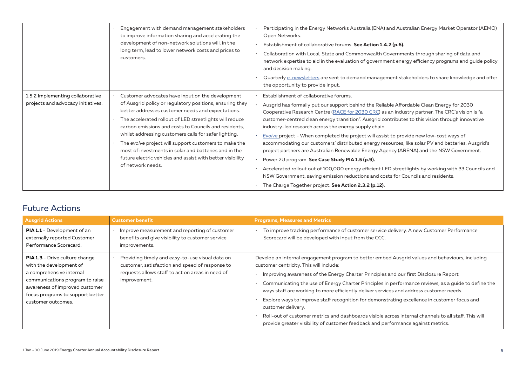|                                                                        | Engagement with demand management stakeholders<br>to improve information sharing and accelerating the<br>development of non-network solutions will, in the<br>long term, lead to lower network costs and prices to<br>customers.                                                                                                                                                                                                                                                                                                                    | Participating in the Energy Networks Australia (ENA) and Australian Energy Market Operator (AEMO)<br>Open Networks.<br>Establishment of collaborative forums. See Action 1.4.2 (p.6).<br>Collaboration with Local, State and Commonwealth Governments through sharing of data and<br>network expertise to aid in the evaluation of government energy efficiency programs and guide policy<br>and decision making.<br>Quarterly e-newsletters are sent to demand management stakeholders to share knowledge and offer<br>the opportunity to provide input.                                                                                                                                                                                                                                                                                                                                                                                                                                             |
|------------------------------------------------------------------------|-----------------------------------------------------------------------------------------------------------------------------------------------------------------------------------------------------------------------------------------------------------------------------------------------------------------------------------------------------------------------------------------------------------------------------------------------------------------------------------------------------------------------------------------------------|-------------------------------------------------------------------------------------------------------------------------------------------------------------------------------------------------------------------------------------------------------------------------------------------------------------------------------------------------------------------------------------------------------------------------------------------------------------------------------------------------------------------------------------------------------------------------------------------------------------------------------------------------------------------------------------------------------------------------------------------------------------------------------------------------------------------------------------------------------------------------------------------------------------------------------------------------------------------------------------------------------|
| 1.5.2 Implementing collaborative<br>projects and advocacy initiatives. | Customer advocates have input on the development<br>of Ausgrid policy or regulatory positions, ensuring they<br>better addresses customer needs and expectations.<br>The accelerated rollout of LED streetlights will reduce<br>carbon emissions and costs to Councils and residents,<br>whilst addressing customers calls for safer lighting.<br>The evolve project will support customers to make the<br>most of investments in solar and batteries and in the<br>future electric vehicles and assist with better visibility<br>of network needs. | Establishment of collaborative forums.<br>Ausgrid has formally put our support behind the Reliable Affordable Clean Energy for 2030<br>Cooperative Research Centre (RACE for 2030 CRC) as an industry partner. The CRC's vision is "a<br>customer-centred clean energy transition". Ausgrid contributes to this vision through innovative<br>industry-led research across the energy supply chain.<br>Evolve project - When completed the project will assist to provide new low-cost ways of<br>accommodating our customers' distributed energy resources, like solar PV and batteries. Ausgrid's<br>project partners are Australian Renewable Energy Agency (ARENA) and the NSW Government.<br>Power 2U program. See Case Study PIA 1.5 (p.9).<br>Accelerated rollout out of 100,000 energy efficient LED streetlights by working with 33 Councils and<br>NSW Government, saving emission reductions and costs for Councils and residents.<br>The Charge Together project. See Action 2.3.2 (p.12). |

### Future Actions

| <b>Ausgrid Actions</b>                                                                                                                                                                                                      | <b>Customer benefit</b>                                                                                                                                                | <b>Programs, Measures and Metrics</b>                                                                                                                                                                                                                                                                                                                                                                                                                                                                                                                                                                                                                                                                                                                  |
|-----------------------------------------------------------------------------------------------------------------------------------------------------------------------------------------------------------------------------|------------------------------------------------------------------------------------------------------------------------------------------------------------------------|--------------------------------------------------------------------------------------------------------------------------------------------------------------------------------------------------------------------------------------------------------------------------------------------------------------------------------------------------------------------------------------------------------------------------------------------------------------------------------------------------------------------------------------------------------------------------------------------------------------------------------------------------------------------------------------------------------------------------------------------------------|
| <b>PIA 1.1</b> - Development of an<br>externally reported Customer<br>Performance Scorecard.                                                                                                                                | Improve measurement and reporting of customer<br>benefits and give visibility to customer service<br>improvements.                                                     | To improve tracking performance of customer service delivery. A new Customer Performance<br>Scorecard will be developed with input from the CCC.                                                                                                                                                                                                                                                                                                                                                                                                                                                                                                                                                                                                       |
| <b>PIA 1.3</b> - Drive culture change<br>with the development of<br>a comprehensive internal<br>communications program to raise<br>awareness of improved customer<br>focus programs to support better<br>customer outcomes. | Providing timely and easy-to-use visual data on<br>customer, satisfaction and speed of response to<br>requests allows staff to act on areas in need of<br>improvement. | Develop an internal engagement program to better embed Ausgrid values and behaviours, including<br>customer centricity. This will include:<br>Improving awareness of the Energy Charter Principles and our first Disclosure Report<br>Communicating the use of Energy Charter Principles in performance reviews, as a guide to define the<br>ways staff are working to more efficiently deliver services and address customer needs.<br>Explore ways to improve staff recognition for demonstrating excellence in customer focus and<br>customer delivery.<br>Roll-out of customer metrics and dashboards visible across internal channels to all staff. This will<br>provide greater visibility of customer feedback and performance against metrics. |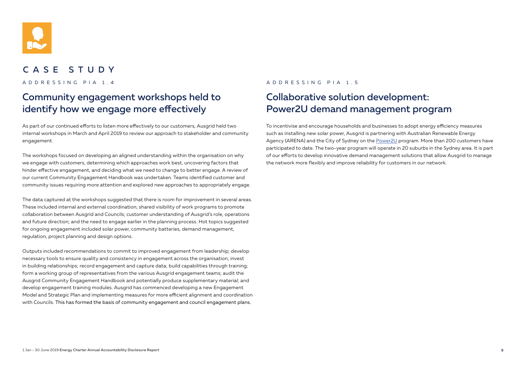

### CASE STUDY

## Community engagement workshops held to identify how we engage more effectively

As part of our continued efforts to listen more effectively to our customers, Ausgrid held two internal workshops in March and April 2019 to review our approach to stakeholder and community engagement.

The workshops focused on developing an aligned understanding within the organisation on why we engage with customers, determining which approaches work best, uncovering factors that hinder effective engagement, and deciding what we need to change to better engage. A review of our current Community Engagement Handbook was undertaken. Teams identified customer and community issues requiring more attention and explored new approaches to appropriately engage.

The data captured at the workshops suggested that there is room for improvement in several areas. These included internal and external coordination; shared visibility of work programs to promote collaboration between Ausgrid and Councils; customer understanding of Ausgrid's role, operations and future direction; and the need to engage earlier in the planning process. Hot topics suggested for ongoing engagement included solar power, community batteries, demand management, regulation, project planning and design options.

Outputs included recommendations to commit to improved engagement from leadership; develop necessary tools to ensure quality and consistency in engagement across the organisation; invest in building relationships; record engagement and capture data; build capabilities through training; form a working group of representatives from the various Ausgrid engagement teams; audit the Ausgrid Community Engagement Handbook and potentially produce supplementary material; and develop engagement training modules. Ausgrid has commenced developing a new Engagement Model and Strategic Plan and implementing measures for more efficient alignment and coordination with Councils. This has formed the basis of community engagement and council engagement plans.

### ADDRESSING PIA 1.4 ADDRESSING PIA 1.5

## Collaborative solution development: Power2U demand management program

To incentivise and encourage households and businesses to adopt energy efficiency measures such as installing new solar power, Ausgrid is partnering with Australian Renewable Energy Agency (ARENA) and the City of Sydney on the Power2U program. More than 200 customers have participated to date. The two-year program will operate in 20 suburbs in the Sydney area. It is part of our efforts to develop innovative demand management solutions that allow Ausgrid to manage the network more flexibly and improve reliability for customers in our network.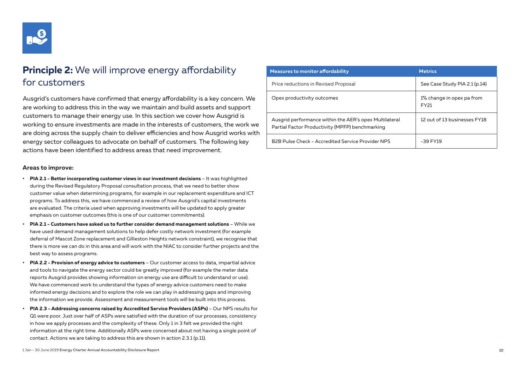

## **Principle 2:** We will improve energy affordability for customers

Ausgrid's customers have confirmed that energy affordability is a key concern. We are working to address this in the way we maintain and build assets and support customers to manage their energy use. In this section we cover how Ausgrid is working to ensure investments are made in the interests of customers, the work we are doing across the supply chain to deliver efficiencies and how Ausgrid works with energy sector colleagues to advocate on behalf of customers. The following key actions have been identified to address areas that need improvement.

#### **Areas to improve:**

- **• PIA 2.1 Better incorporating customer views in our investment decisions** It was highlighted during the Revised Regulatory Proposal consultation process, that we need to better show customer value when determining programs, for example in our replacement expenditure and ICT programs. To address this, we have commenced a review of how Ausgrid's capital investments are evaluated. The criteria used when approving investments will be updated to apply greater emphasis on customer outcomes (this is one of our customer commitments).
- **• PIA 2.1 Customers have asked us to further consider demand management solutions** While we have used demand management solutions to help defer costly network investment (for example deferral of Mascot Zone replacement and Gillieston Heights network constraint), we recognise that there is more we can do in this area and will work with the NIAC to consider further projects and the best way to assess programs.
- **• PIA 2.2 Provision of energy advice to customers** Our customer access to data, impartial advice and tools to navigate the energy sector could be greatly improved (for example the meter data reports Ausgrid provides showing information on energy use are difficult to understand or use). We have commenced work to understand the types of energy advice customers need to make informed energy decisions and to explore the role we can play in addressing gaps and improving the information we provide. Assessment and measurement tools will be built into this process.
- **• PIA 2.3 Addressing concerns raised by Accredited Service Providers (ASPs)**  Our NPS results for Q1 were poor. Just over half of ASPs were satisfied with the duration of our processes, consistency in how we apply processes and the complexity of these. Only 1 in 3 felt we provided the right information at the right time. Additionally ASPs were concerned about not having a single point of contact. Actions we are taking to address this are shown in action 2.3.1 (p.11).

| <b>Measures to monitor affordability</b>                                                                  | <b>Metrics</b>                    |
|-----------------------------------------------------------------------------------------------------------|-----------------------------------|
| Price reductions in Revised Proposal                                                                      | See Case Study PIA 2.1 (p.14)     |
| Opex productivity outcomes                                                                                | 1% change in opex pa from<br>FY21 |
| Ausgrid performance within the AER's opex Multilateral<br>Partial Factor Productivity (MPFP) benchmarking | 12 out of 13 businesses FY18      |
| B2B Pulse Check - Accredited Service Provider NPS                                                         | -39 FY19                          |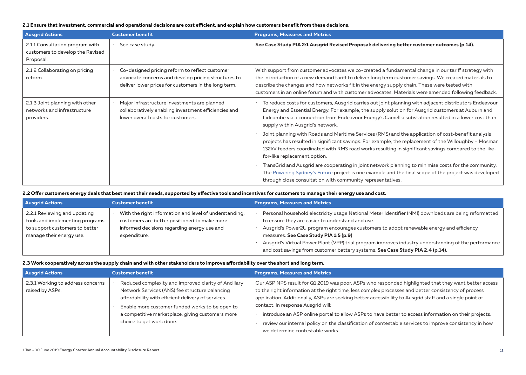#### **2.1 Ensure that investment, commercial and operational decisions are cost efficient, and explain how customers benefit from these decisions.**

| <b>Ausgrid Actions</b>                                                           | <b>Customer benefit</b>                                                                                                                                       | <b>Programs, Measures and Metrics</b>                                                                                                                                                                                                                                                                                                                                                                                 |
|----------------------------------------------------------------------------------|---------------------------------------------------------------------------------------------------------------------------------------------------------------|-----------------------------------------------------------------------------------------------------------------------------------------------------------------------------------------------------------------------------------------------------------------------------------------------------------------------------------------------------------------------------------------------------------------------|
| 2.1.1 Consultation program with<br>customers to develop the Revised<br>Proposal. | See case study.                                                                                                                                               | See Case Study PIA 2:1 Ausgrid Revised Proposal: delivering better customer outcomes (p.14).                                                                                                                                                                                                                                                                                                                          |
| 2.1.2 Collaborating on pricing<br>reform.                                        | Co-designed pricing reform to reflect customer<br>advocate concerns and develop pricing structures to<br>deliver lower prices for customers in the long term. | With support from customer advocates we co-created a fundamental change in our tariff strategy with<br>the introduction of a new demand tariff to deliver long term customer savings. We created materials to<br>describe the changes and how networks fit in the energy supply chain. These were tested with<br>customers in an online forum and with customer advocates. Materials were amended following feedback. |
| 2.1.3 Joint planning with other<br>networks and infrastructure<br>providers.     | Major infrastructure investments are planned<br>collaboratively enabling investment efficiencies and<br>lower overall costs for customers.                    | To reduce costs for customers, Ausgrid carries out joint planning with adjacent distributors Endeavour<br>Energy and Essential Energy. For example, the supply solution for Ausgrid customers at Auburn and<br>Lidcombe via a connection from Endeavour Energy's Camellia substation resulted in a lower cost than<br>supply within Ausgrid's network.                                                                |
|                                                                                  |                                                                                                                                                               | Joint planning with Roads and Maritime Services (RMS) and the application of cost-benefit analysis<br>projects has resulted in significant savings. For example, the replacement of the Willoughby - Mosman<br>132kV feeders coordinated with RMS road works resulting in significant savings compared to the like-<br>for-like replacement option.                                                                   |
|                                                                                  |                                                                                                                                                               | TransGrid and Ausgrid are cooperating in joint network planning to minimise costs for the community.<br>The Powering Sydney's Future project is one example and the final scope of the project was developed<br>through close consultation with community representatives.                                                                                                                                            |

**2.2 Offer customers energy deals that best meet their needs, supported by effective tools and incentives for customers to manage their energy use and cost.**

| <b>Ausgrid Actions</b>                                                                                                        | <b>Customer benefit</b>                                                                                                                                               | <b>Programs, Measures and Metrics</b>                                                                                                                                                                                                                                                                                                                                                                                                                                                   |
|-------------------------------------------------------------------------------------------------------------------------------|-----------------------------------------------------------------------------------------------------------------------------------------------------------------------|-----------------------------------------------------------------------------------------------------------------------------------------------------------------------------------------------------------------------------------------------------------------------------------------------------------------------------------------------------------------------------------------------------------------------------------------------------------------------------------------|
| 2.2.1 Reviewing and updating<br>tools and implementing programs<br>to support customers to better<br>manage their energy use. | With the right information and level of understanding,<br>customers are better positioned to make more<br>informed decisions regarding energy use and<br>expenditure. | Personal household electricity usage National Meter Identifier (NMI) downloads are being reformatted<br>to ensure they are easier to understand and use.<br>Ausgrid's Power2U program encourages customers to adopt renewable energy and efficiency<br>measures. See Case Study PIA 1:5 (p.9)<br>Ausgrid's Virtual Power Plant (VPP) trial program improves industry understanding of the performance<br>and cost savings from customer battery systems. See Case Study PIA 2.4 (p.14). |

#### **2.3 Work cooperatively across the supply chain and with other stakeholders to improve affordability over the short and long term.**

| <b>Ausgrid Actions</b>                               | <b>Customer benefit</b>                                                                                                                                                                                                                                                                         | <b>Programs, Measures and Metrics</b>                                                                                                                                                                                                                                                                                                                                                                                                                                                                                                                                                                              |
|------------------------------------------------------|-------------------------------------------------------------------------------------------------------------------------------------------------------------------------------------------------------------------------------------------------------------------------------------------------|--------------------------------------------------------------------------------------------------------------------------------------------------------------------------------------------------------------------------------------------------------------------------------------------------------------------------------------------------------------------------------------------------------------------------------------------------------------------------------------------------------------------------------------------------------------------------------------------------------------------|
| 2.3.1 Working to address concerns<br>raised by ASPs. | Reduced complexity and improved clarity of Ancillary<br>Network Services (ANS) fee structure balancing<br>affordability with efficient delivery of services.<br>Enable more customer funded works to be open to<br>a competitive marketplace, giving customers more<br>choice to get work done. | Our ASP NPS result for Q1 2019 was poor. ASPs who responded highlighted that they want better access<br>to the right information at the right time, less complex processes and better consistency of process<br>application. Additionally, ASPs are seeking better accessibility to Ausgrid staff and a single point of<br>contact. In response Ausgrid will:<br>introduce an ASP online portal to allow ASPs to have better to access information on their projects.<br>review our internal policy on the classification of contestable services to improve consistency in how<br>we determine contestable works. |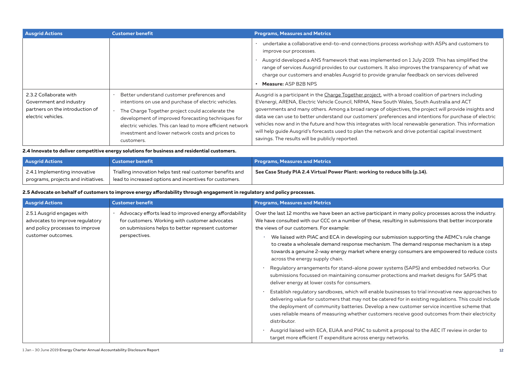| <b>Ausgrid Actions</b>                                                                                     | <b>Customer benefit</b>                                                                                                                                                                                                                                                                                                                      | <b>Programs, Measures and Metrics</b>                                                                                                                                                                                                                                                                                                                                                                                                                                                                                                                                                                                                                                                        |
|------------------------------------------------------------------------------------------------------------|----------------------------------------------------------------------------------------------------------------------------------------------------------------------------------------------------------------------------------------------------------------------------------------------------------------------------------------------|----------------------------------------------------------------------------------------------------------------------------------------------------------------------------------------------------------------------------------------------------------------------------------------------------------------------------------------------------------------------------------------------------------------------------------------------------------------------------------------------------------------------------------------------------------------------------------------------------------------------------------------------------------------------------------------------|
|                                                                                                            |                                                                                                                                                                                                                                                                                                                                              | undertake a collaborative end-to-end connections process workshop with ASPs and customers to<br>improve our processes.<br>Ausgrid developed a ANS framework that was implemented on 1 July 2019. This has simplified the<br>range of services Ausgrid provides to our customers. It also improves the transparency of what we<br>charge our customers and enables Ausgrid to provide granular feedback on services delivered<br>Measure: ASP B2B NPS                                                                                                                                                                                                                                         |
| 2.3.2 Collaborate with<br>Government and industry<br>partners on the introduction of<br>electric vehicles. | Better understand customer preferences and<br>intentions on use and purchase of electric vehicles.<br>The Charge Together project could accelerate the<br>development of improved forecasting techniques for<br>electric vehicles. This can lead to more efficient network<br>investment and lower network costs and prices to<br>customers. | Ausgrid is a participant in the Charge Together project, with a broad coalition of partners including<br>EVenergi, ARENA, Electric Vehicle Council, NRMA, New South Wales, South Australia and ACT<br>governments and many others. Among a broad range of objectives, the project will provide insights and<br>data we can use to better understand our customers' preferences and intentions for purchase of electric<br>vehicles now and in the future and how this integrates with local renewable generation. This information<br>will help quide Ausgrid's forecasts used to plan the network and drive potential capital investment<br>savings. The results will be publicly reported. |

**2.4 Innovate to deliver competitive energy solutions for business and residential customers.**

| <b>Ausgrid Actions</b>                                               | <b>Customer benefit</b>                                                                                                                         | <b>Programs, Measures and Metrics</b>                                       |
|----------------------------------------------------------------------|-------------------------------------------------------------------------------------------------------------------------------------------------|-----------------------------------------------------------------------------|
| 2.4.1 Implementing innovative<br>programs, projects and initiatives. | $^\prime\,$ Trialling innovation helps test real customer benefits and<br>$^\mathrm{+}$ lead to increased options and incentives for customers. | See Case Study PIA 2.4 Virtual Power Plant: working to reduce bills (p.14). |

**2.5 Advocate on behalf of customers to improve energy affordability through engagement in regulatory and policy processes.**

| <b>Ausgrid Actions</b>                                                                           | <b>Customer benefit</b>                                                                                                                                       | <b>Programs, Measures and Metrics</b>                                                                                                                                                                                                                                                                                                                                                                                          |
|--------------------------------------------------------------------------------------------------|---------------------------------------------------------------------------------------------------------------------------------------------------------------|--------------------------------------------------------------------------------------------------------------------------------------------------------------------------------------------------------------------------------------------------------------------------------------------------------------------------------------------------------------------------------------------------------------------------------|
| 2.5.1 Ausgrid engages with<br>advocates to improve regulatory<br>and policy processes to improve | Advocacy efforts lead to improved energy affordability<br>for customers. Working with customer advocates<br>on submissions helps to better represent customer | Over the last 12 months we have been an active participant in many policy processes across the industry.<br>We have consulted with our CCC on a number of these, resulting in submissions that better incorporate<br>the views of our customers. For example:                                                                                                                                                                  |
| customer outcomes.                                                                               | perspectives.                                                                                                                                                 | We liaised with PIAC and ECA in developing our submission supporting the AEMC's rule change<br>to create a wholesale demand response mechanism. The demand response mechanism is a step<br>towards a genuine 2-way energy market where energy consumers are empowered to reduce costs<br>across the energy supply chain.                                                                                                       |
|                                                                                                  |                                                                                                                                                               | Regulatory arrangements for stand-alone power systems (SAPS) and embedded networks. Our<br>submissions focussed on maintaining consumer protections and market designs for SAPS that<br>deliver energy at lower costs for consumers.                                                                                                                                                                                           |
|                                                                                                  |                                                                                                                                                               | Establish regulatory sandboxes, which will enable businesses to trial innovative new approaches to<br>delivering value for customers that may not be catered for in existing regulations. This could include<br>the deployment of community batteries. Develop a new customer service incentive scheme that<br>uses reliable means of measuring whether customers receive good outcomes from their electricity<br>distributor. |
|                                                                                                  |                                                                                                                                                               | Ausgrid liaised with ECA, EUAA and PIAC to submit a proposal to the AEC IT review in order to<br>target more efficient IT expenditure across energy networks.                                                                                                                                                                                                                                                                  |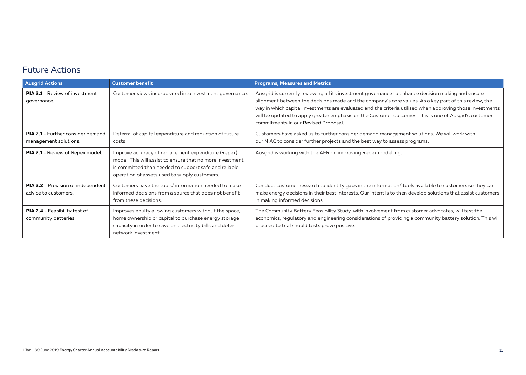### Future Actions

| <b>Ausgrid Actions</b>                                            | <b>Customer benefit</b>                                                                                                                                                                                                    | <b>Programs, Measures and Metrics</b>                                                                                                                                                                                                                                                                                                                                                                                                                                    |
|-------------------------------------------------------------------|----------------------------------------------------------------------------------------------------------------------------------------------------------------------------------------------------------------------------|--------------------------------------------------------------------------------------------------------------------------------------------------------------------------------------------------------------------------------------------------------------------------------------------------------------------------------------------------------------------------------------------------------------------------------------------------------------------------|
| <b>PIA 2.1 - Review of investment</b><br>governance.              | Customer views incorporated into investment governance.                                                                                                                                                                    | Ausgrid is currently reviewing all its investment governance to enhance decision making and ensure<br>alignment between the decisions made and the company's core values. As a key part of this review, the<br>way in which capital investments are evaluated and the criteria utilised when approving those investments<br>will be updated to apply greater emphasis on the Customer outcomes. This is one of Ausgid's customer<br>commitments in our Revised Proposal. |
| <b>PIA 2.1</b> - Further consider demand<br>management solutions. | Deferral of capital expenditure and reduction of future<br>costs.                                                                                                                                                          | Customers have asked us to further consider demand management solutions. We will work with<br>our NIAC to consider further projects and the best way to assess programs.                                                                                                                                                                                                                                                                                                 |
| PIA 2.1 - Review of Repex model.                                  | Improve accuracy of replacement expenditure (Repex)<br>model. This will assist to ensure that no more investment<br>is committed than needed to support safe and reliable<br>operation of assets used to supply customers. | Ausgrid is working with the AER on improving Repex modelling.                                                                                                                                                                                                                                                                                                                                                                                                            |
| <b>PIA 2.2</b> - Provision of independent<br>advice to customers. | Customers have the tools/information needed to make<br>informed decisions from a source that does not benefit<br>from these decisions.                                                                                     | Conduct customer research to identify gaps in the information/ tools available to customers so they can<br>make energy decisions in their best interests. Our intent is to then develop solutions that assist customers<br>in making informed decisions.                                                                                                                                                                                                                 |
| <b>PIA 2.4</b> - Feasibility test of<br>community batteries.      | Improves equity allowing customers without the space,<br>home ownership or capital to purchase energy storage<br>capacity in order to save on electricity bills and defer<br>network investment.                           | The Community Battery Feasibility Study, with involvement from customer advocates, will test the<br>economics, regulatory and engineering considerations of providing a community battery solution. This will<br>proceed to trial should tests prove positive.                                                                                                                                                                                                           |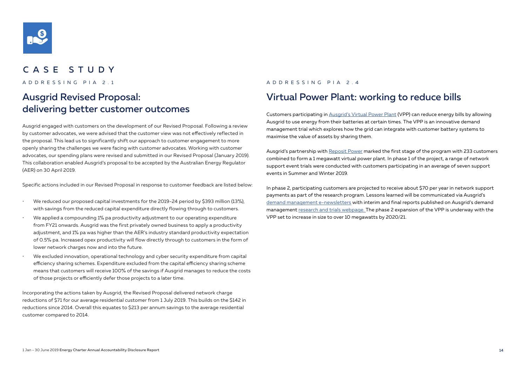

### CASE STUDY

## Ausgrid Revised Proposal: delivering better customer outcomes

Ausgrid engaged with customers on the development of our Revised Proposal. Following a review by customer advocates, we were advised that the customer view was not effectively reflected in the proposal. This lead us to significantly shift our approach to customer engagement to more openly sharing the challenges we were facing with customer advocates. Working with customer advocates, our spending plans were revised and submitted in our Revised Proposal (January 2019). This collaboration enabled Ausgrid's proposal to be accepted by the Australian Energy Regulator (AER) on 30 April 2019.

Specific actions included in our Revised Proposal in response to customer feedback are listed below:

- We reduced our proposed capital investments for the 2019-24 period by \$393 million (13%), with savings from the reduced capital expenditure directly flowing through to customers.
- We applied a compounding 1% pa productivity adjustment to our operating expenditure from FY21 onwards. Ausgrid was the first privately owned business to apply a productivity adjustment, and 1% pa was higher than the AER's industry standard productivity expectation of 0.5% pa. Increased opex productivity will flow directly through to customers in the form of lower network charges now and into the future.
- We excluded innovation, operational technology and cyber security expenditure from capital efficiency sharing schemes. Expenditure excluded from the capital efficiency sharing scheme means that customers will receive 100% of the savings if Ausgrid manages to reduce the costs of those projects or efficiently defer those projects to a later time.

Incorporating the actions taken by Ausgrid, the Revised Proposal delivered network charge reductions of \$71 for our average residential customer from 1 July 2019. This builds on the \$142 in reductions since 2014. Overall this equates to \$213 per annum savings to the average residential customer compared to 2014.

### ADDRESSING PIA 2.1 ADDRESSING PIA 2.4

### Virtual Power Plant: working to reduce bills

Customers participating in Ausgrid's Virtual Power Plant (VPP) can reduce energy bills by allowing Ausgrid to use energy from their batteries at certain times. The VPP is an innovative demand management trial which explores how the grid can integrate with customer battery systems to maximise the value of assets by sharing them.

Ausgrid's partnership with Reposit Power marked the first stage of the program with 233 customers combined to form a 1 megawatt virtual power plant. In phase 1 of the project, a range of network support event trials were conducted with customers participating in an average of seven support events in Summer and Winter 2019.

In phase 2, participating customers are projected to receive about \$70 per year in network support payments as part of the research program. Lessons learned will be communicated via Ausgrid's demand management e-newsletters with interim and final reports published on Ausgrid's demand management research and trials webpage. The phase 2 expansion of the VPP is underway with the VPP set to increase in size to over 10 megawatts by 2020/21.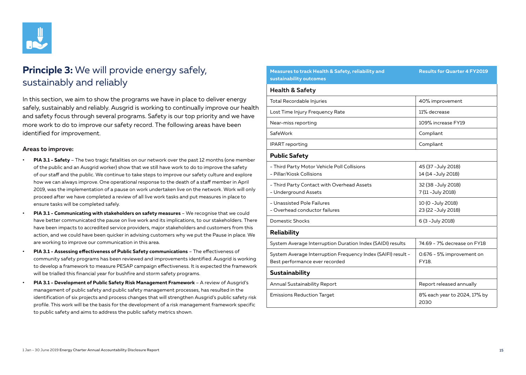

## **Principle 3:** We will provide energy safely, sustainably and reliably

In this section, we aim to show the programs we have in place to deliver energy safely, sustainably and reliably. Ausgrid is working to continually improve our health and safety focus through several programs. Safety is our top priority and we have more work to do to improve our safety record. The following areas have been identified for improvement.

#### **Areas to improve:**

- **• PIA 3.1 Safety** The two tragic fatalities on our network over the past 12 months (one member of the public and an Ausgrid worker) show that we still have work to do to improve the safety of our staff and the public. We continue to take steps to improve our safety culture and explore how we can always improve. One operational response to the death of a staff member in April 2019, was the implementation of a pause on work undertaken live on the network. Work will only proceed after we have completed a review of all live work tasks and put measures in place to ensure tasks will be completed safely.
- **• PIA 3.1 Communicating with stakeholders on safety measures** We recognise that we could have better communicated the pause on live work and its implications, to our stakeholders. There have been impacts to accredited service providers, major stakeholders and customers from this action, and we could have been quicker in advising customers why we put the Pause in place. We are working to improve our communication in this area.
- **• PIA 3.1 Assessing effectiveness of Public Safety communications** The effectiveness of community safety programs has been reviewed and improvements identified. Ausgrid is working to develop a framework to measure PESAP campaign effectiveness. It is expected the framework will be trialled this financial year for bushfire and storm safety programs.
- **• PIA 3.1 Development of Public Safety Risk Management Framework** A review of Ausgrid's management of public safety and public safety management processes, has resulted in the identification of six projects and process changes that will strengthen Ausgrid's public safety risk profile. This work will be the basis for the development of a risk management framework specific to public safety and aims to address the public safety metrics shown.

| Measures to track Health & Safety, reliability and<br>sustainability outcomes                  | <b>Results for Quarter 4 FY2019</b>        |
|------------------------------------------------------------------------------------------------|--------------------------------------------|
| <b>Health &amp; Safety</b>                                                                     |                                            |
| <b>Total Recordable Injuries</b>                                                               | 40% improvement                            |
| Lost Time Injury Frequency Rate                                                                | 11% decrease                               |
| Near-miss reporting                                                                            | 109% increase FY19                         |
| SafeWork                                                                                       | Compliant                                  |
| <b>IPART</b> reporting                                                                         | Compliant                                  |
| <b>Public Safety</b>                                                                           |                                            |
| - Third Party Motor Vehicle Poll Collisions<br>- Pillar/Kiosk Collisions                       | 45 (37 - July 2018)<br>14 (14 - July 2018) |
| - Third Party Contact with Overhead Assets<br>- Underground Assets                             | 32 (38 - July 2018)<br>7 (11 - July 2018)  |
| - Unassisted Pole Failures<br>- Overhead conductor failures                                    | 10 (0 - July 2018)<br>23 (22 - July 2018)  |
| Domestic Shocks                                                                                | 6 (3 - July 2018)                          |
| Reliability                                                                                    |                                            |
| System Average Interruption Duration Index (SAIDI) results                                     | 74.69 - 7% decrease on FY18                |
| System Average Interruption Frequency Index (SAIFI) result -<br>Best performance ever recorded | 0.676 - 5% improvement on<br>FY18.         |
| Sustainability                                                                                 |                                            |
| Annual Sustainability Report                                                                   | Report released annually                   |
| <b>Emissions Reduction Target</b>                                                              | 8% each year to 2024, 17% by<br>2030       |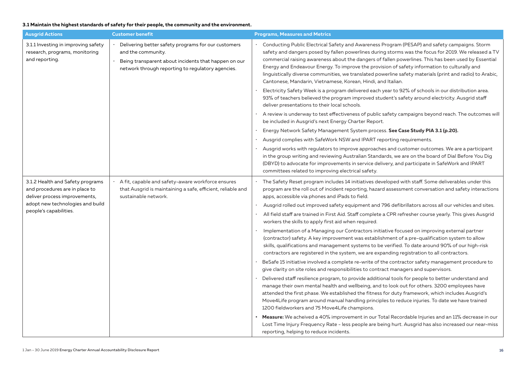### **3.1 Maintain the highest standards of safety for their people, the community and the environment.**

| <b>Ausgrid Actions</b>                                                                              | <b>Customer benefit</b>                                                                                                                                                                | <b>Programs, Measures and Metrics</b>                                                                                                                                                                                                                                                                                                                                                                                                                                                                                                                                                         |
|-----------------------------------------------------------------------------------------------------|----------------------------------------------------------------------------------------------------------------------------------------------------------------------------------------|-----------------------------------------------------------------------------------------------------------------------------------------------------------------------------------------------------------------------------------------------------------------------------------------------------------------------------------------------------------------------------------------------------------------------------------------------------------------------------------------------------------------------------------------------------------------------------------------------|
| 3.1.1 Investing in improving safety<br>research, programs, monitoring<br>and reporting.             | Delivering better safety programs for our customers<br>and the community.<br>Being transparent about incidents that happen on our<br>network through reporting to regulatory agencies. | · Conducting Public Electrical Safety and Awareness Program (PESAP) and safety campaigns. Storm<br>safety and dangers posed by fallen powerlines during storms was the focus for 2019. We released a TV<br>commercial raising awareness about the dangers of fallen powerlines. This has been used by Essential<br>Energy and Endeavour Energy. To improve the provision of safety information to culturally and<br>linguistically diverse communities, we translated powerline safety materials (print and radio) to Arabic,<br>Cantonese, Mandarin, Vietnamese, Korean, Hindi, and Italian. |
|                                                                                                     |                                                                                                                                                                                        | Electricity Safety Week is a program delivered each year to 92% of schools in our distribution area.<br>93% of teachers believed the program improved student's safety around electricity. Ausgrid staff<br>deliver presentations to their local schools.                                                                                                                                                                                                                                                                                                                                     |
|                                                                                                     |                                                                                                                                                                                        | A review is underway to test effectiveness of public safety campaigns beyond reach. The outcomes will<br>be included in Ausgrid's next Energy Charter Report.                                                                                                                                                                                                                                                                                                                                                                                                                                 |
|                                                                                                     |                                                                                                                                                                                        | Energy Network Safety Management System process. See Case Study PIA 3.1 (p.20).                                                                                                                                                                                                                                                                                                                                                                                                                                                                                                               |
|                                                                                                     |                                                                                                                                                                                        | Ausgrid complies with SafeWork NSW and IPART reporting requirements.                                                                                                                                                                                                                                                                                                                                                                                                                                                                                                                          |
|                                                                                                     |                                                                                                                                                                                        | Ausgrid works with regulators to improve approaches and customer outcomes. We are a participant<br>in the group writing and reviewing Australian Standards, we are on the board of Dial Before You Dig<br>(DBYD) to advocate for improvements in service delivery, and participate in SafeWork and IPART<br>committees related to improving electrical safety.                                                                                                                                                                                                                                |
| 3.1.2 Health and Safety programs<br>and procedures are in place to<br>deliver process improvements, | A fit, capable and safety-aware workforce ensures<br>that Ausgrid is maintaining a safe, efficient, reliable and<br>sustainable network.                                               | The Safety Reset program includes 14 initiatives developed with staff. Some deliverables under this<br>program are the roll out of incident reporting, hazard assessment conversation and safety interactions<br>apps, accessible via phones and iPads to field.                                                                                                                                                                                                                                                                                                                              |
| adopt new technologies and build<br>people's capabilities.                                          |                                                                                                                                                                                        | Ausgrid rolled out improved safety equipment and 796 defibrillators across all our vehicles and sites.<br>$\bullet$                                                                                                                                                                                                                                                                                                                                                                                                                                                                           |
|                                                                                                     |                                                                                                                                                                                        | All field staff are trained in First Aid. Staff complete a CPR refresher course yearly. This gives Ausgrid<br>workers the skills to apply first aid when required.                                                                                                                                                                                                                                                                                                                                                                                                                            |
|                                                                                                     |                                                                                                                                                                                        | Implementation of a Managing our Contractors initiative focused on improving external partner<br>(contractor) safety. A key improvement was establishment of a pre-qualification system to allow<br>skills, qualifications and management systems to be verified. To date around 90% of our high-risk<br>contractors are registered in the system, we are expanding registration to all contractors.                                                                                                                                                                                          |
|                                                                                                     |                                                                                                                                                                                        | BeSafe 15 initiative involved a complete re-write of the contractor safety management procedure to<br>give clarity on site roles and responsibilities to contract managers and supervisors.                                                                                                                                                                                                                                                                                                                                                                                                   |
|                                                                                                     |                                                                                                                                                                                        | Delivered staff resilience program, to provide additional tools for people to better understand and<br>manage their own mental health and wellbeing, and to look out for others. 3200 employees have<br>attended the first phase. We established the fitness for duty framework, which includes Ausgrid's<br>Move4Life program around manual handling principles to reduce injuries. To date we have trained<br>1200 fieldworkers and 75 Move4Life champions.                                                                                                                                 |
|                                                                                                     |                                                                                                                                                                                        | Measure: We acheived a 40% improvement in our Total Recordable Injuries and an 11% decrease in our<br>Lost Time Injury Frequency Rate - less people are being hurt. Ausgrid has also increased our near-miss<br>reporting, helping to reduce incidents.                                                                                                                                                                                                                                                                                                                                       |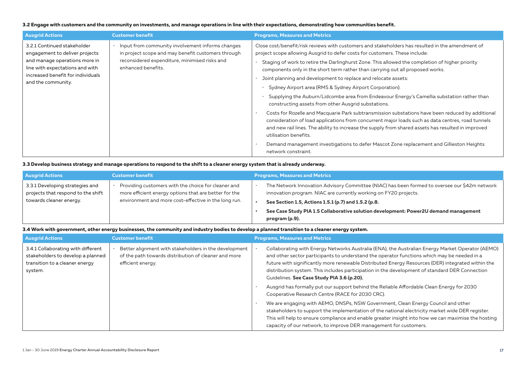### **3.2 Engage with customers and the community on investments, and manage operations in line with their expectations, demonstrating how communities benefit.**

| <b>Ausgrid Actions</b>                                                                                                                                                                       | <b>Customer benefit</b>                                                                                                                                                         | <b>Programs, Measures and Metrics</b>                                                                                                                                                                                                                                                                                                                                                                                                                                                                                                                                                                                                                                                                                                                                                                                                                                                                                                                                                                                                                                                                             |
|----------------------------------------------------------------------------------------------------------------------------------------------------------------------------------------------|---------------------------------------------------------------------------------------------------------------------------------------------------------------------------------|-------------------------------------------------------------------------------------------------------------------------------------------------------------------------------------------------------------------------------------------------------------------------------------------------------------------------------------------------------------------------------------------------------------------------------------------------------------------------------------------------------------------------------------------------------------------------------------------------------------------------------------------------------------------------------------------------------------------------------------------------------------------------------------------------------------------------------------------------------------------------------------------------------------------------------------------------------------------------------------------------------------------------------------------------------------------------------------------------------------------|
| 3.2.1 Continued stakeholder<br>engagement to deliver projects<br>and manage operations more in<br>line with expectations and with<br>increased benefit for individuals<br>and the community. | · Input from community involvement informs changes<br>in project scope and may benefit customers through<br>reconsidered expenditure, minimised risks and<br>enhanced benefits. | Close cost/benefit/risk reviews with customers and stakeholders has resulted in the amendment of<br>project scope allowing Ausgrid to defer costs for customers. These include:<br>Staging of work to retire the Darlinghurst Zone. This allowed the completion of higher priority<br>components only in the short term rather than carrying out all proposed works.<br>Joint planning and development to replace and relocate assets:<br>Sydney Airport area (RMS & Sydney Airport Corporation).<br>Supplying the Auburn/Lidcombe area from Endeavour Energy's Camellia substation rather than<br>constructing assets from other Ausgrid substations.<br>Costs for Rozelle and Macquarie Park subtransmission substations have been reduced by additional<br>consideration of load applications from concurrent major loads such as data centres, road tunnels<br>and new rail lines. The ability to increase the supply from shared assets has resulted in improved<br>utilisation benefits.<br>Demand management investigations to defer Mascot Zone replacement and Gillieston Heights<br>network constraint. |

### **3.3 Develop business strategy and manage operations to respond to the shift to a cleaner energy system that is already underway.**

| <b>Ausgrid Actions</b>                                                                           | <b>Customer benefit</b>                                                                                                                                              | <b>Programs, Measures and Metrics</b>                                                                                                                                                                                                                                                                                               |
|--------------------------------------------------------------------------------------------------|----------------------------------------------------------------------------------------------------------------------------------------------------------------------|-------------------------------------------------------------------------------------------------------------------------------------------------------------------------------------------------------------------------------------------------------------------------------------------------------------------------------------|
| 3.3.1 Developing strategies and<br>projects that respond to the shift<br>towards cleaner energy. | Providing customers with the choice for cleaner and<br>more efficient energy options that are better for the<br>environment and more cost-effective in the long run. | The Network Innovation Advisory Committee (NIAC) has been formed to oversee our \$42m network<br>innovation program. NIAC are currently working on FY20 projects.<br>See Section 1.5, Actions 1.5.1 (p.7) and 1.5.2 (p.8.<br>See Case Study PIA 1.5 Collaborative solution development: Power2U demand management<br>program (p.9). |

#### **3.4 Work with government, other energy businesses, the community and industry bodies to develop a planned transition to a cleaner energy system.**

| <b>Ausgrid Actions</b>                                                                                               | <b>Customer benefit</b>                                                                                                            | <b>Programs, Measures and Metrics</b>                                                                                                                                                                                                                                                                                                                                                                                                                                                                                                                                                                                                                                                                                                                                                                                                                                                                                                                                     |
|----------------------------------------------------------------------------------------------------------------------|------------------------------------------------------------------------------------------------------------------------------------|---------------------------------------------------------------------------------------------------------------------------------------------------------------------------------------------------------------------------------------------------------------------------------------------------------------------------------------------------------------------------------------------------------------------------------------------------------------------------------------------------------------------------------------------------------------------------------------------------------------------------------------------------------------------------------------------------------------------------------------------------------------------------------------------------------------------------------------------------------------------------------------------------------------------------------------------------------------------------|
| 3.4.1 Collaborating with different<br>stakeholders to develop a planned<br>transition to a cleaner energy<br>system. | Better alignment with stakeholders in the development<br>of the path towards distribution of cleaner and more<br>efficient energy. | Collaborating with Energy Networks Australia (ENA), the Australian Energy Market Operator (AEMO)<br>and other sector participants to understand the operator functions which may be needed in a<br>future with significantly more renewable Distributed Energy Resources (DER) integrated within the<br>distribution system. This includes participation in the development of standard DER Connection<br>Guidelines. See Case Study PIA 3.6 (p.20).<br>Ausgrid has formally put our support behind the Reliable Affordable Clean Energy for 2030<br>Cooperative Research Centre (RACE for 2030 CRC).<br>We are engaging with AEMO, DNSPs, NSW Government, Clean Energy Council and other<br>stakeholders to support the implementation of the national electricity market wide DER register.<br>This will help to ensure compliance and enable greater insight into how we can maximise the hosting<br>capacity of our network, to improve DER management for customers. |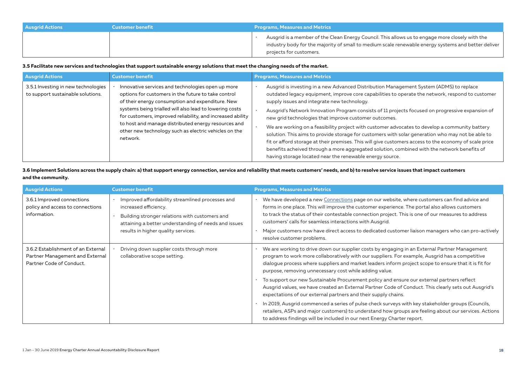| <b>Ausgrid Actions</b> | <b>Customer benefit</b> | <b>Programs, Measures and Metrics</b>                                                                                                                                                                                             |
|------------------------|-------------------------|-----------------------------------------------------------------------------------------------------------------------------------------------------------------------------------------------------------------------------------|
|                        |                         | Ausgrid is a member of the Clean Energy Council. This allows us to engage more closely with the<br>industry body for the majority of small to medium scale renewable energy systems and better deliver<br>projects for customers. |

**3.5 Facilitate new services and technologies that support sustainable energy solutions that meet the changing needs of the market.**

| <b>Ausgrid Actions</b>                                                   | <b>Customer benefit</b>                                                                                                                                                                                                                                                                                                                                                                                           | <b>Programs, Measures and Metrics</b>                                                                                                                                                                                                                                                                                                                                                                                                                                                                                                                                                                                                                                                                                                                                                                                                                                               |
|--------------------------------------------------------------------------|-------------------------------------------------------------------------------------------------------------------------------------------------------------------------------------------------------------------------------------------------------------------------------------------------------------------------------------------------------------------------------------------------------------------|-------------------------------------------------------------------------------------------------------------------------------------------------------------------------------------------------------------------------------------------------------------------------------------------------------------------------------------------------------------------------------------------------------------------------------------------------------------------------------------------------------------------------------------------------------------------------------------------------------------------------------------------------------------------------------------------------------------------------------------------------------------------------------------------------------------------------------------------------------------------------------------|
| 3.5.1 Investing in new technologies<br>to support sustainable solutions. | Innovative services and technologies open up more<br>options for customers in the future to take control<br>of their energy consumption and expenditure. New<br>systems being trialled will also lead to lowering costs<br>for customers, improved reliability, and increased ability<br>to host and manage distributed energy resources and<br>other new technology such as electric vehicles on the<br>network. | Ausgrid is investing in a new Advanced Distribution Management System (ADMS) to replace<br>outdated legacy equipment, improve core capabilities to operate the network, respond to customer<br>supply issues and integrate new technology.<br>Ausgrid's Network Innovation Program consists of 11 projects focused on progressive expansion of<br>new grid technologies that improve customer outcomes.<br>We are working on a feasibility project with customer advocates to develop a community battery<br>solution. This aims to provide storage for customers with solar generation who may not be able to<br>fit or afford storage at their premises. This will give customers access to the economy of scale price<br>benefits acheived through a more aggregated solution, combined with the network benefits of<br>having storage located near the renewable energy source. |

**3.6 Implement Solutions across the supply chain: a) that support energy connection, service and reliability that meets customers' needs, and b) to resolve service issues that impact customers and the community.**

| <b>Ausgrid Actions</b>                                                                            | <b>Customer benefit</b>                                                                                                                                                                                                    | <b>Programs, Measures and Metrics</b>                                                                                                                                                                                                                                                                                                                                                                                                                                                                  |
|---------------------------------------------------------------------------------------------------|----------------------------------------------------------------------------------------------------------------------------------------------------------------------------------------------------------------------------|--------------------------------------------------------------------------------------------------------------------------------------------------------------------------------------------------------------------------------------------------------------------------------------------------------------------------------------------------------------------------------------------------------------------------------------------------------------------------------------------------------|
| 3.6.1 Improved connections<br>policy and access to connections<br>information.                    | Improved affordability streamlined processes and<br>increased efficiency.<br>Building stronger relations with customers and<br>attaining a better understanding of needs and issues<br>results in higher quality services. | We have developed a new Connections page on our website, where customers can find advice and<br>forms in one place. This will improve the customer experience. The portal also allows customers<br>to track the status of their contestable connection project. This is one of our measures to address<br>customers' calls for seamless interactions with Ausgrid.<br>Major customers now have direct access to dedicated customer liaison managers who can pro-actively<br>resolve customer problems. |
| 3.6.2 Establishment of an External<br>Partner Management and External<br>Partner Code of Conduct. | Driving down supplier costs through more<br>collaborative scope setting.                                                                                                                                                   | We are working to drive down our supplier costs by engaging in an External Partner Management<br>program to work more collaboratively with our suppliers. For example, Ausgrid has a competitive<br>dialogue process where suppliers and market leaders inform project scope to ensure that it is fit for<br>purpose, removing unnecessary cost while adding value.                                                                                                                                    |
|                                                                                                   |                                                                                                                                                                                                                            | To support our new Sustainable Procurement policy and ensure our external partners reflect<br>Ausgrid values, we have created an External Partner Code of Conduct. This clearly sets out Ausgrid's<br>expectations of our external partners and their supply chains.                                                                                                                                                                                                                                   |
|                                                                                                   |                                                                                                                                                                                                                            | In 2019, Ausgrid commenced a series of pulse check surveys with key stakeholder groups (Councils,<br>retailers, ASPs and major customers) to understand how groups are feeling about our services. Actions<br>to address findings will be included in our next Energy Charter report.                                                                                                                                                                                                                  |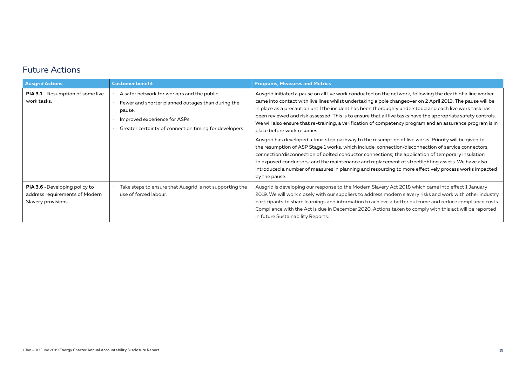### Future Actions

| <b>Ausgrid Actions</b>                                                                         | <b>Customer benefit</b>                                                                                                                                                                                                     | <b>Programs, Measures and Metrics</b>                                                                                                                                                                                                                                                                                                                                                                                                                                                                                                                                                                                                                                                                                                                                                                                                                                                                           |
|------------------------------------------------------------------------------------------------|-----------------------------------------------------------------------------------------------------------------------------------------------------------------------------------------------------------------------------|-----------------------------------------------------------------------------------------------------------------------------------------------------------------------------------------------------------------------------------------------------------------------------------------------------------------------------------------------------------------------------------------------------------------------------------------------------------------------------------------------------------------------------------------------------------------------------------------------------------------------------------------------------------------------------------------------------------------------------------------------------------------------------------------------------------------------------------------------------------------------------------------------------------------|
| <b>PIA 3.1</b> - Resumption of some live<br>work tasks.                                        | A safer network for workers and the public.<br>Fewer and shorter planned outages than during the<br>pause.<br>Improved experience for ASPs.<br>Greater certainty of connection timing for developers.                       | Ausgrid initiated a pause on all live work conducted on the network, following the death of a line worker<br>came into contact with live lines whilst undertaking a pole changeover on 2 April 2019. The pause will be<br>in place as a precaution until the incident has been thoroughly understood and each live work task has<br>been reviewed and risk assessed. This is to ensure that all live tasks have the appropriate safety controls.<br>We will also ensure that re-training, a verification of competency program and an assurance program is in<br>place before work resumes.<br>Ausgrid has developed a four-step pathway to the resumption of live works. Priority will be given to<br>the resumption of ASP Stage 1 works, which include: connection/disconnection of service connectors;<br>connection/disconnection of bolted conductor connections; the application of temporary insulation |
|                                                                                                | to exposed conductors; and the maintenance and replacement of streetlighting assets. We have also<br>introduced a number of measures in planning and resourcing to more effectively process works impacted<br>by the pause. |                                                                                                                                                                                                                                                                                                                                                                                                                                                                                                                                                                                                                                                                                                                                                                                                                                                                                                                 |
| <b>PIA 3.6</b> - Developing policy to<br>address requirements of Modern<br>Slavery provisions. | Take steps to ensure that Ausgrid is not supporting the<br>use of forced labour.                                                                                                                                            | Ausgrid is developing our response to the Modern Slavery Act 2018 which came into effect 1 January<br>2019. We will work closely with our suppliers to address modern slavery risks and work with other industry<br>participants to share learnings and information to achieve a better outcome and reduce compliance costs.<br>Compliance with the Act is due in December 2020. Actions taken to comply with this act will be reported<br>in future Sustainability Reports.                                                                                                                                                                                                                                                                                                                                                                                                                                    |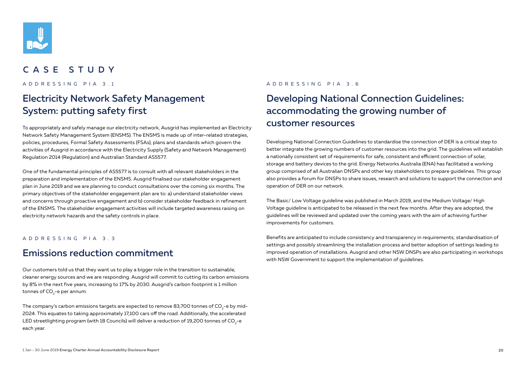

### CASE STUDY

ADDRESSING PIA 3.1

## Electricity Network Safety Management System: putting safety first

To appropriately and safely manage our electricity network, Ausgrid has implemented an Electricity Network Safety Management System (ENSMS). The ENSMS is made up of inter-related strategies, policies, procedures, Formal Safety Assessments (FSAs), plans and standards which govern the activities of Ausgrid in accordance with the Electricity Supply (Safety and Network Management) Regulation 2014 (Regulation) and Australian Standard AS5577.

One of the fundamental principles of AS5577 is to consult with all relevant stakeholders in the preparation and implementation of the ENSMS. Ausgrid finalised our stakeholder engagement plan in June 2019 and we are planning to conduct consultations over the coming six months. The primary objectives of the stakeholder engagement plan are to: a) understand stakeholder views and concerns through proactive engagement and b) consider stakeholder feedback in refinement of the ENSMS. The stakeholder engagement activities will include targeted awareness raising on electricity network hazards and the safety controls in place.

### ADDRESSING PIA 3.3

### Emissions reduction commitment

Our customers told us that they want us to play a bigger role in the transition to sustainable, cleaner energy sources and we are responding. Ausgrid will commit to cutting its carbon emissions by 8% in the next five years, increasing to 17% by 2030. Ausgrid's carbon footprint is 1 million tonnes of CO $_{\textrm{\tiny{2}}}$ -e per annum.

The company's carbon emissions targets are expected to remove 83,700 tonnes of CO $_2$ -e by mid-2024. This equates to taking approximately 17,100 cars off the road. Additionally, the accelerated LED streetlighting program (with 18 Councils) will deliver a reduction of 19,200 tonnes of CO<sub>2</sub>-e each year.

### ADDRESSING PIA 3.6

## Developing National Connection Guidelines: accommodating the growing number of customer resources

Developing National Connection Guidelines to standardise the connection of DER is a critical step to better integrate the growing numbers of customer resources into the grid. The guidelines will establish a nationally consistent set of requirements for safe, consistent and efficient connection of solar, storage and battery devices to the grid. Energy Networks Australia (ENA) has facilitated a working group comprised of all Australian DNSPs and other key stakeholders to prepare guidelines. This group also provides a forum for DNSPs to share issues, research and solutions to support the connection and operation of DER on our network.

The Basic/ Low Voltage guideline was published in March 2019, and the Medium Voltage/ High Voltage guideline is anticipated to be released in the next few months. After they are adopted, the guidelines will be reviewed and updated over the coming years with the aim of achieving further improvements for customers.

Benefits are anticipated to include consistency and transparency in requirements; standardisation of settings and possibly streamlining the installation process and better adoption of settings leading to improved operation of installations. Ausgrid and other NSW DNSPs are also participating in workshops with NSW Government to support the implementation of guidelines.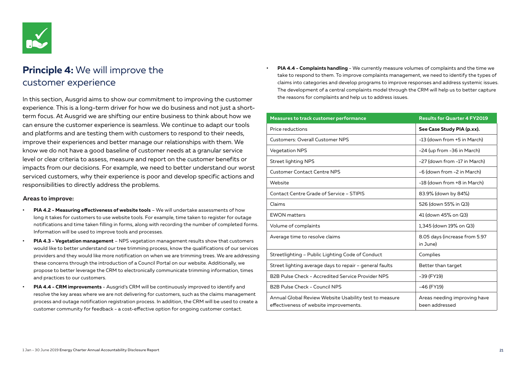

## **Principle 4:** We will improve the customer experience

In this section, Ausgrid aims to show our commitment to improving the customer experience. This is a long-term driver for how we do business and not just a shortterm focus. At Ausgrid we are shifting our entire business to think about how we can ensure the customer experience is seamless. We continue to adapt our tools and platforms and are testing them with customers to respond to their needs, improve their experiences and better manage our relationships with them. We know we do not have a good baseline of customer needs at a granular service level or clear criteria to assess, measure and report on the customer benefits or impacts from our decisions. For example, we need to better understand our worst serviced customers, why their experience is poor and develop specific actions and responsibilities to directly address the problems.

#### **Areas to improve:**

- **• PIA 4.2 Measuring effectiveness of website tools** We will undertake assessments of how long it takes for customers to use website tools. For example, time taken to register for outage notifications and time taken filling in forms, along with recording the number of completed forms. Information will be used to improve tools and processes.
- **• PIA 4.3 Vegetation management** NPS vegetation management results show that customers would like to better understand our tree trimming process, know the qualifications of our services providers and they would like more notification on when we are trimming trees. We are addressing these concerns through the introduction of a Council Portal on our website. Additionally, we propose to better leverage the CRM to electronically communicate trimming information, times and practices to our customers.
- **• PIA 4.4 CRM improvements**  Ausgrid's CRM will be continuously improved to identify and resolve the key areas where we are not delivering for customers, such as the claims management process and outage notification registration process. In addition, the CRM will be used to create a customer community for feedback - a cost-effective option for ongoing customer contact.

**• PIA 4.4 - Complaints handling** - We currently measure volumes of complaints and the time we take to respond to them. To improve complaints management, we need to identify the types of claims into categories and develop programs to improve responses and address systemic issues. The development of a central complaints model through the CRM will help us to better capture the reasons for complaints and help us to address issues.

| <b>Measures to track customer performance</b>                                                    | <b>Results for Quarter 4 FY2019</b>            |
|--------------------------------------------------------------------------------------------------|------------------------------------------------|
| Price reductions                                                                                 | See Case Study PIA (p.xx).                     |
| <b>Customers: Overall Customer NPS</b>                                                           | -13 (down from +5 in March)                    |
| <b>Vegetation NPS</b>                                                                            | -24 (up from -36 in March)                     |
| <b>Street lighting NPS</b>                                                                       | -27 (down from -17 in March)                   |
| <b>Customer Contact Centre NPS</b>                                                               | -6 (down from -2 in March)                     |
| Website                                                                                          | -18 (down from +8 in March)                    |
| <b>Contact Centre Grade of Service - STIPIS</b>                                                  | 83.9% (down by 84%)                            |
| Claims                                                                                           | 526 (down 55% in Q3)                           |
| <b>EWON</b> matters                                                                              | 41 (down 45% on Q3)                            |
| Volume of complaints                                                                             | 1,345 (down 19% on Q3)                         |
| Average time to resolve claims                                                                   | 8.05 days (increase from 5.97<br>in June)      |
| Streetlighting - Public Lighting Code of Conduct                                                 | Complies                                       |
| Street lighting average days to repair - general faults                                          | Better than target                             |
| B2B Pulse Check - Accredited Service Provider NPS                                                | -39 (FY19)                                     |
| B2B Pulse Check - Council NPS                                                                    | -46 (FY19)                                     |
| Annual Global Review Website Usability test to measure<br>effectiveness of website improvements. | Areas needing improving have<br>been addressed |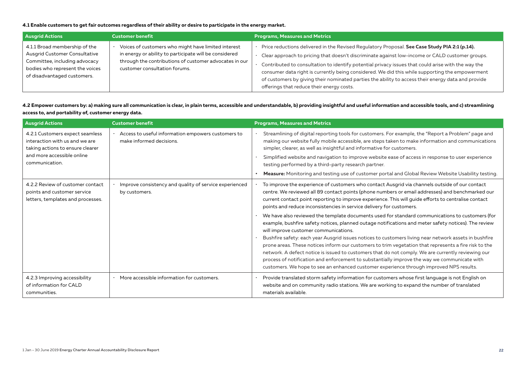### **4.1 Enable customers to get fair outcomes regardless of their ability or desire to participate in the energy market.**

| <b>Ausgrid Actions</b>                                                                                                                                                   | <b>Customer benefit</b>                                                                                                                                                                                  | <b>Programs, Measures and Metrics</b>                                                                                                                                                                                                                                                                                                                                                                                                                                                                                                                        |
|--------------------------------------------------------------------------------------------------------------------------------------------------------------------------|----------------------------------------------------------------------------------------------------------------------------------------------------------------------------------------------------------|--------------------------------------------------------------------------------------------------------------------------------------------------------------------------------------------------------------------------------------------------------------------------------------------------------------------------------------------------------------------------------------------------------------------------------------------------------------------------------------------------------------------------------------------------------------|
| 4.1.1 Broad membership of the<br><b>Ausgrid Customer Consultative</b><br>Committee, including advocacy<br>bodies who represent the voices<br>of disadvantaged customers. | Voices of customers who might have limited interest<br>in energy or ability to participate will be considered<br>through the contributions of customer advocates in our<br>customer consultation forums. | Price reductions delivered in the Revised Regulatory Proposal. See Case Study PIA 2:1 (p.14).<br>Clear approach to pricing that doesn't discriminate against low-income or CALD customer groups.<br>Contributed to consultation to identify potential privacy issues that could arise with the way the<br>consumer data right is currently being considered. We did this while supporting the empowerment<br>of customers by giving their nominated parties the ability to access their energy data and provide<br>offerings that reduce their energy costs. |

**4.2 Empower customers by: a) making sure all communication is clear, in plain terms, accessible and understandable, b) providing insightful and useful information and accessible tools, and c) streamlining access to, and portability of, customer energy data.**

| <b>Ausgrid Actions</b>                                                                                | <b>Customer benefit</b>                                                        | <b>Programs, Measures and Metrics</b>                                                                                                                                                                                                                                                                                                                                                                                                                                                                                                                                                                                                                                                                                                                               |
|-------------------------------------------------------------------------------------------------------|--------------------------------------------------------------------------------|---------------------------------------------------------------------------------------------------------------------------------------------------------------------------------------------------------------------------------------------------------------------------------------------------------------------------------------------------------------------------------------------------------------------------------------------------------------------------------------------------------------------------------------------------------------------------------------------------------------------------------------------------------------------------------------------------------------------------------------------------------------------|
| 4.2.1 Customers expect seamless<br>interaction with us and we are<br>taking actions to ensure clearer | Access to useful information empowers customers to<br>make informed decisions. | Streamlining of digital reporting tools for customers. For example, the "Report a Problem" page and<br>making our website fully mobile accessible, are steps taken to make information and communications<br>simpler, clearer, as well as insightful and informative for customers.                                                                                                                                                                                                                                                                                                                                                                                                                                                                                 |
| and more accessible online<br>communication.                                                          |                                                                                | Simplified website and navigation to improve website ease of access in response to user experience<br>testing performed by a third-party research partner.                                                                                                                                                                                                                                                                                                                                                                                                                                                                                                                                                                                                          |
|                                                                                                       |                                                                                | <b>Measure:</b> Monitoring and testing use of customer portal and Global Review Website Usability testing.                                                                                                                                                                                                                                                                                                                                                                                                                                                                                                                                                                                                                                                          |
| 4.2.2 Review of customer contact<br>points and customer service<br>letters, templates and processes.  | Improve consistency and quality of service experienced<br>by customers.        | To improve the experience of customers who contact Ausgrid via channels outside of our contact<br>centre. We reviewed all 89 contact points (phone numbers or email addresses) and benchmarked our<br>current contact point reporting to improve experience. This will guide efforts to centralise contact<br>points and reduce inconsistencies in service delivery for customers.                                                                                                                                                                                                                                                                                                                                                                                  |
|                                                                                                       |                                                                                | We have also reviewed the template documents used for standard communications to customers (for<br>example, bushfire safety notices, planned outage notifications and meter safety notices). The review<br>will improve customer communications.<br>Bushfire safety: each year Ausgrid issues notices to customers living near network assets in bushfire<br>prone areas. These notices inform our customers to trim vegetation that represents a fire risk to the<br>network. A defect notice is issued to customers that do not comply. We are currently reviewing our<br>process of notification and enforcement to substantially improve the way we communicate with<br>customers. We hope to see an enhanced customer experience through improved NPS results. |
| 4.2.3 Improving accessibility<br>of information for CALD<br>communities.                              | · More accessible information for customers.                                   | Provide translated storm safety information for customers whose first language is not English on<br>website and on community radio stations. We are working to expand the number of translated<br>materials available.                                                                                                                                                                                                                                                                                                                                                                                                                                                                                                                                              |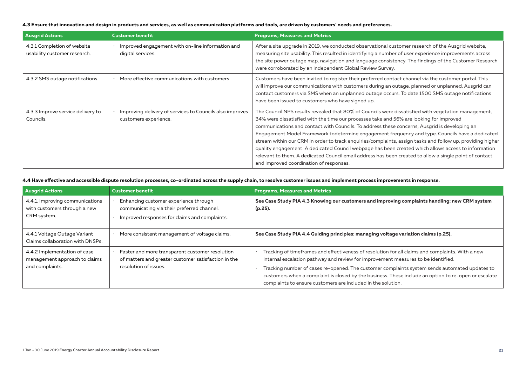#### **4.3 Ensure that innovation and design in products and services, as well as communication platforms and tools, are driven by customers' needs and preferences.**

| <b>Ausgrid Actions</b>                                      | <b>Customer benefit</b>                                                           | <b>Programs, Measures and Metrics</b>                                                                                                                                                                                                                                                                                                                                                                                                                                                                                                                                                                                                                                                                                                                                         |
|-------------------------------------------------------------|-----------------------------------------------------------------------------------|-------------------------------------------------------------------------------------------------------------------------------------------------------------------------------------------------------------------------------------------------------------------------------------------------------------------------------------------------------------------------------------------------------------------------------------------------------------------------------------------------------------------------------------------------------------------------------------------------------------------------------------------------------------------------------------------------------------------------------------------------------------------------------|
| 4.3.1 Completion of website<br>usability customer research. | Improved engagement with on-line information and<br>digital services.             | After a site upgrade in 2019, we conducted observational customer research of the Ausgrid website,<br>measuring site usability. This resulted in identifying a number of user experience improvements across<br>the site power outage map, navigation and language consistency. The findings of the Customer Research<br>were corroborated by an independent Global Review Survey.                                                                                                                                                                                                                                                                                                                                                                                            |
| 4.3.2 SMS outage notifications.                             | More effective communications with customers.                                     | Customers have been invited to register their preferred contact channel via the customer portal. This<br>will improve our communications with customers during an outage, planned or unplanned. Ausgrid can<br>contact customers via SMS when an unplanned outage occurs. To date 1500 SMS outage notifications<br>have been issued to customers who have signed up.                                                                                                                                                                                                                                                                                                                                                                                                          |
| 4.3.3 Improve service delivery to<br>Councils.              | Improving delivery of services to Councils also improves<br>customers experience. | The Council NPS results revealed that 80% of Councils were dissatisfied with vegetation management,<br>34% were dissatisfied with the time our processes take and 56% are looking for improved<br>communications and contact with Councils. To address these concerns, Ausgrid is developing an<br>Engagement Model Framework todetermine engagement frequency and type. Councils have a dedicated<br>stream within our CRM in order to track enguiries/complaints, assign tasks and follow up, providing higher<br>quality engagement. A dedicated Council webpage has been created which allows access to information<br>relevant to them. A dedicated Council email address has been created to allow a single point of contact<br>and improved coordination of responses. |

#### **4.4 Have effective and accessible dispute resolution processes, co-ordinated across the supply chain, to resolve customer issues and implement process improvements in response.**

| <b>Ausgrid Actions</b>                                                           | <b>Customer benefit</b>                                                                                                              | <b>Programs, Measures and Metrics</b>                                                                                                                                                                                                                                                                                                                                                                                                                          |
|----------------------------------------------------------------------------------|--------------------------------------------------------------------------------------------------------------------------------------|----------------------------------------------------------------------------------------------------------------------------------------------------------------------------------------------------------------------------------------------------------------------------------------------------------------------------------------------------------------------------------------------------------------------------------------------------------------|
| 4.4.1. Improving communications<br>with customers through a new<br>CRM system.   | Enhancing customer experience through<br>communicating via their preferred channel.<br>Improved responses for claims and complaints. | See Case Study PIA 4.3 Knowing our customers and improving complaints handling: new CRM system<br>$(p.25)$ .                                                                                                                                                                                                                                                                                                                                                   |
| 4.4.1 Voltage Outage Variant<br>Claims collaboration with DNSPs.                 | More consistent management of voltage claims.                                                                                        | See Case Study PIA 4.4 Guiding principles: managing voltage variation claims (p.25).                                                                                                                                                                                                                                                                                                                                                                           |
| 4.4.2 Implementation of case<br>management approach to claims<br>and complaints. | Faster and more transparent customer resolution<br>of matters and greater customer satisfaction in the<br>resolution of issues.      | Tracking of timeframes and effectiveness of resolution for all claims and complaints. With a new<br>internal escalation pathway and review for improvement measures to be identified.<br>Tracking number of cases re-opened. The customer complaints system sends automated updates to<br>customers when a complaint is closed by the business. These include an option to re-open or escalate<br>complaints to ensure customers are included in the solution. |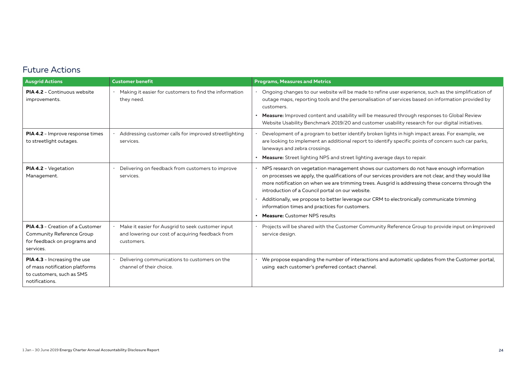### Future Actions

| <b>Ausgrid Actions</b>                                                                                               | <b>Customer benefit</b>                                                                                               | <b>Programs, Measures and Metrics</b>                                                                                                                                                                                                                                                                                                                                                                                                                                                                                                               |
|----------------------------------------------------------------------------------------------------------------------|-----------------------------------------------------------------------------------------------------------------------|-----------------------------------------------------------------------------------------------------------------------------------------------------------------------------------------------------------------------------------------------------------------------------------------------------------------------------------------------------------------------------------------------------------------------------------------------------------------------------------------------------------------------------------------------------|
| <b>PIA 4.2 - Continuous website</b><br>improvements.                                                                 | Making it easier for customers to find the information<br>they need.                                                  | Ongoing changes to our website will be made to refine user experience, such as the simplification of<br>outage maps, reporting tools and the personalisation of services based on information provided by<br>customers.                                                                                                                                                                                                                                                                                                                             |
|                                                                                                                      |                                                                                                                       | Measure: Improved content and usability will be measured through responses to Global Review<br>Website Usability Benchmark 2019/20 and customer usability research for our digital initiatives.                                                                                                                                                                                                                                                                                                                                                     |
| PIA 4.2 - Improve response times<br>to streetlight outages.                                                          | Addressing customer calls for improved streetlighting<br>services.                                                    | Development of a program to better identify broken lights in high impact areas. For example, we<br>are looking to implement an additional report to identify specific points of concern such car parks,<br>laneways and zebra crossings.                                                                                                                                                                                                                                                                                                            |
|                                                                                                                      |                                                                                                                       | <b>Measure:</b> Street lighting NPS and street lighting average days to repair.                                                                                                                                                                                                                                                                                                                                                                                                                                                                     |
| PIA 4.2 - Vegetation<br>Management.                                                                                  | Delivering on feedback from customers to improve<br>services.                                                         | NPS research on vegetation management shows our customers do not have enough information<br>on processes we apply, the qualifications of our services providers are not clear, and they would like<br>more notification on when we are trimming trees. Ausgrid is addressing these concerns through the<br>introduction of a Council portal on our website.<br>Additionally, we propose to better leverage our CRM to electronically communicate trimming<br>information times and practices for customers.<br><b>Measure:</b> Customer NPS results |
| <b>PIA 4.3</b> - Creation of a Customer<br>Community Reference Group<br>for feedback on programs and<br>services.    | · Make it easier for Ausgrid to seek customer input<br>and lowering our cost of acquiring feedback from<br>customers. | Projects will be shared with the Customer Community Reference Group to provide input on improved<br>service design.                                                                                                                                                                                                                                                                                                                                                                                                                                 |
| <b>PIA 4.3</b> - Increasing the use<br>of mass notification platforms<br>to customers, such as SMS<br>notifications. | Delivering communications to customers on the<br>channel of their choice.                                             | We propose expanding the number of interactions and automatic updates from the Customer portal,<br>using each customer's preferred contact channel.                                                                                                                                                                                                                                                                                                                                                                                                 |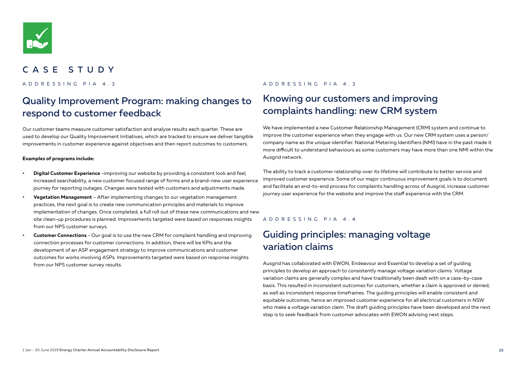

### CASE STUDY

## Quality Improvement Program: making changes to respond to customer feedback

Our customer teams measure customer satisfaction and analyse results each quarter. These are used to develop our Quality Improvement Initiatives, which are tracked to ensure we deliver tangible improvements in customer experience against objectives and then report outcomes to customers.

#### **Examples of programs include:**

- **• Digital Customer Experience** –improving our website by providing a consistent look and feel, increased searchability, a new customer focused range of forms and a brand-new user experience journey for reporting outages. Changes were tested with customers and adjustments made.
- **• Vegetation Management** After implementing changes to our vegetation management practices, the next goal is to create new communication principles and materials to improve implementation of changes. Once completed, a full roll out of these new communications and new site clean-up procedures is planned. Improvements targeted were based on responses insights from our NPS customer surveys.
- **• Customer Connections** Our goal is to use the new CRM for complaint handling and improving connection processes for customer connections. In addition, there will be KPIs and the development of an ASP engagement strategy to improve communications and customer outcomes for works involving ASPs. Improvements targeted were based on response insights from our NPS customer survey results.

### ADDRESSING PIA 4.3 ADDRESSING PIA 4.3

## Knowing our customers and improving complaints handling: new CRM system

We have implemented a new Customer Relationship Management (CRM) system and continue to improve the customer experience when they engage with us. Our new CRM system uses a person/ company name as the unique identifier. National Metering Identifiers (NMI) have in the past made it more difficult to understand behaviours as some customers may have more than one NMI within the Ausgrid network.

The ability to track a customer relationship over its lifetime will contribute to better service and improved customer experience. Some of our major continuous improvement goals is to document and facilitate an end-to-end process for complaints handling across of Ausgrid, increase customer journey user experience for the website and improve the staff experience with the CRM.

### ADDRESSING PIA 4.4

## Guiding principles: managing voltage variation claims

Ausgrid has collaborated with EWON, Endeavour and Essential to develop a set of guiding principles to develop an approach to consistently manage voltage variation claims. Voltage variation claims are generally complex and have traditionally been dealt with on a case-by-case basis. This resulted in inconsistent outcomes for customers, whether a claim is approved or denied, as well as inconsistent response timeframes. The guiding principles will enable consistent and equitable outcomes, hence an improved customer experience for all electrical customers in NSW who make a voltage variation claim. The draft guiding principles have been developed and the next step is to seek feedback from customer advocates with EWON advising next steps.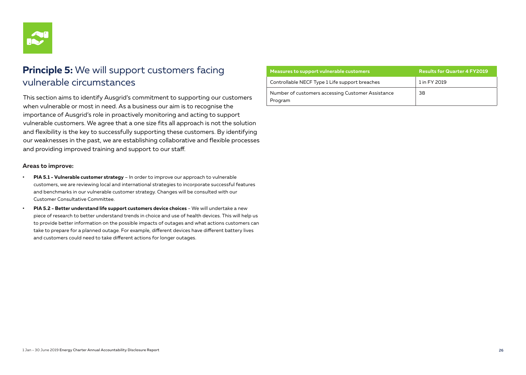

## **Principle 5:** We will support customers facing vulnerable circumstances

This section aims to identify Ausgrid's commitment to supporting our customers when vulnerable or most in need. As a business our aim is to recognise the importance of Ausgrid's role in proactively monitoring and acting to support vulnerable customers. We agree that a one size fits all approach is not the solution and flexibility is the key to successfully supporting these customers. By identifying our weaknesses in the past, we are establishing collaborative and flexible processes and providing improved training and support to our staff.

### **Areas to improve:**

- **• PIA 5.1 Vulnerable customer strategy** In order to improve our approach to vulnerable customers, we are reviewing local and international strategies to incorporate successful features and benchmarks in our vulnerable customer strategy. Changes will be consulted with our Customer Consultative Committee.
- **• PIA 5.2 Better understand life support customers device choices** We will undertake a new piece of research to better understand trends in choice and use of health devices. This will help us to provide better information on the possible impacts of outages and what actions customers can take to prepare for a planned outage. For example, different devices have different battery lives and customers could need to take different actions for longer outages.

| Measures to support vulnerable customers                     | <b>Results for Quarter 4 FY2019</b> |
|--------------------------------------------------------------|-------------------------------------|
| Controllable NECF Type 1 Life support breaches               | 1 in FY 2019                        |
| Number of customers accessing Customer Assistance<br>Program | 38                                  |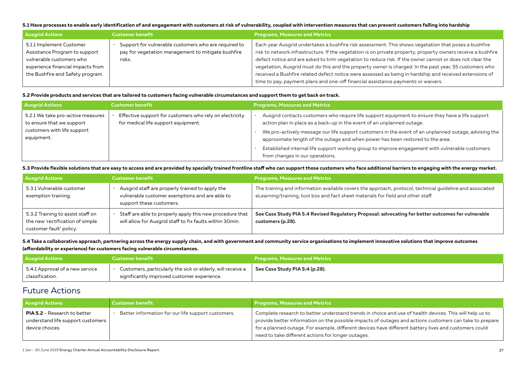#### **5.1 Have processes to enable early identification of and engagement with customers at risk of vulnerability, coupled with intervention measures that can prevent customers falling into hardship**

| <b>Ausgrid Actions</b>                                                                                                                                         | <b>Customer benefit</b>                                                                                              | <b>Programs, Measures and Metrics</b>                                                                                                                                                                                                                                                                                                                                                                                                                                                                                                                 |
|----------------------------------------------------------------------------------------------------------------------------------------------------------------|----------------------------------------------------------------------------------------------------------------------|-------------------------------------------------------------------------------------------------------------------------------------------------------------------------------------------------------------------------------------------------------------------------------------------------------------------------------------------------------------------------------------------------------------------------------------------------------------------------------------------------------------------------------------------------------|
| 5.1.1 Implement Customer<br>Assistance Program to support<br>vulnerable customers who<br>experience financial impacts from<br>the Bushfire and Safety program. | Support for vulnerable customers who are required to<br>pay for vegetation management to mitigate bushfire<br>risks. | Each year Ausgrid undertakes a bushfire risk assessment. This shows vegetation that poses a bushfire<br>risk to network infrastructure. If the vegetation is on private property, property owners receive a bushfire<br>defect notice and are asked to trim vegetation to reduce risk. If the owner cannot or does not clear the<br>vegetation, Ausgrid must do this and the property owner is charged. In the past year, 55 customers who<br>received a Bushfire related defect notice were assessed as being in hardship and received extensions of |
|                                                                                                                                                                |                                                                                                                      | time to pay, payment plans and one-off financial assistance payments or waivers.                                                                                                                                                                                                                                                                                                                                                                                                                                                                      |

#### **5.2 Provide products and services that are tailored to customers facing vulnerable circumstances and support them to get back on track.**

| <b>Ausgrid Actions</b>                                         | <b>Customer benefit</b>                                                                        | <b>Programs, Measures and Metrics</b>                                                                                                                                                  |
|----------------------------------------------------------------|------------------------------------------------------------------------------------------------|----------------------------------------------------------------------------------------------------------------------------------------------------------------------------------------|
| 5.2.1 We take pro-active measures<br>to ensure that we support | Effective support for customers who rely on electricity<br>for medical life support equipment. | Ausgrid contacts customers who require life support equipment to ensure they have a life support<br>action plan in place as a back-up in the event of an unplanned outage.             |
| customers with life support<br>equipment.                      |                                                                                                | We pro-actively message our life support customers in the event of an unplanned outage, advising the<br>approximate length of the outage and when power has been restored to the area. |
|                                                                |                                                                                                | Established internal life support working group to improve engagement with vulnerable customers<br>from changes in our operations.                                                     |

### **5.3 Provide flexible solutions that are easy to access and are provided by specially trained frontline staff who can support those customers who face additional barriers to engaging with the energy market.**

| <b>Ausgrid Actions</b>                                                                           | <b>Customer benefit</b>                                                                                                       | <b>Programs, Measures and Metrics</b>                                                                                                                                                        |
|--------------------------------------------------------------------------------------------------|-------------------------------------------------------------------------------------------------------------------------------|----------------------------------------------------------------------------------------------------------------------------------------------------------------------------------------------|
| 5.3.1 Vulnerable customer<br>exemption training.                                                 | Ausgrid staff are properly trained to apply the<br>vulnerable customer exemptions and are able to<br>support these customers. | The training and information available covers the approach, protocol, technical quideline and associated<br>eLearning/training, tool box and fact sheet materials for field and other staff. |
| 5.3.2 Training to assist staff on<br>the new 'rectification of simple<br>customer fault' policy. | Staff are able to properly apply this new procedure that<br>will allow for Ausgrid staff to fix faults within 30min.          | See Case Study PIA 5.4 Revised Regulatory Proposal: advocating for better outcomes for vulnerable<br>customers (p.28).                                                                       |

### **5.4 Take a collaborative approach, partnering across the energy supply chain, and with government and community service organisations to implement innovative solutions that improve outcomes (affordability or experience) for customers facing vulnerable circumstances.**

| <b>Ausgrid Actions</b>          | <b>Customer benefit</b>                                     | Programs, Measures and Metrics |
|---------------------------------|-------------------------------------------------------------|--------------------------------|
| 5.4.1 Approval of a new service | Customers, particularly the sick or elderly, will receive a | See Case Study PIA 5:4 (p.28). |
| classification.                 | significantly improved customer experience.                 |                                |

### Future Actions

| <b>Ausgrid Actions</b>              | <b>Customer benefit</b>                            | <b>Programs, Measures and Metrics</b>                                                                   |
|-------------------------------------|----------------------------------------------------|---------------------------------------------------------------------------------------------------------|
| <b>PIA 5.2</b> - Research to better | Better information for our life support customers. | Complete research to better understand trends in choice and use of health devices. This will help us to |
| understand life support customers   |                                                    | provide better information on the possible impacts of outages and actions customers can take to prepare |
| device choices.                     |                                                    | for a planned outage. For example, different devices have different battery lives and customers could   |
|                                     |                                                    | need to take different actions for longer outages.                                                      |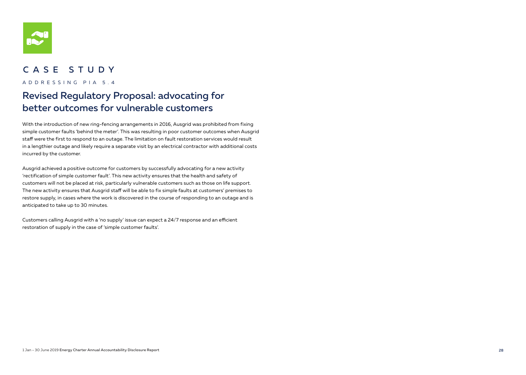

### CASE STUDY

ADDRESSING PIA 5.4

## Revised Regulatory Proposal: advocating for better outcomes for vulnerable customers

With the introduction of new ring-fencing arrangements in 2016, Ausgrid was prohibited from fixing simple customer faults 'behind the meter'. This was resulting in poor customer outcomes when Ausgrid staff were the first to respond to an outage. The limitation on fault restoration services would result in a lengthier outage and likely require a separate visit by an electrical contractor with additional costs incurred by the customer.

Ausgrid achieved a positive outcome for customers by successfully advocating for a new activity 'rectification of simple customer fault'. This new activity ensures that the health and safety of customers will not be placed at risk, particularly vulnerable customers such as those on life support. The new activity ensures that Ausgrid staff will be able to fix simple faults at customers' premises to restore supply, in cases where the work is discovered in the course of responding to an outage and is anticipated to take up to 30 minutes.

Customers calling Ausgrid with a 'no supply' issue can expect a 24/7 response and an efficient restoration of supply in the case of 'simple customer faults'.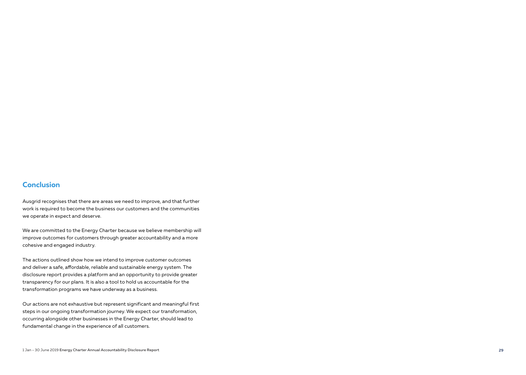### **Conclusion**

Ausgrid recognises that there are areas we need to improve, and that further work is required to become the business our customers and the communities we operate in expect and deserve.

We are committed to the Energy Charter because we believe membership will improve outcomes for customers through greater accountability and a more cohesive and engaged industry.

The actions outlined show how we intend to improve customer outcomes and deliver a safe, affordable, reliable and sustainable energy system. The disclosure report provides a platform and an opportunity to provide greater transparency for our plans. It is also a tool to hold us accountable for the transformation programs we have underway as a business.

Our actions are not exhaustive but represent significant and meaningful first steps in our ongoing transformation journey. We expect our transformation, occurring alongside other businesses in the Energy Charter, should lead to fundamental change in the experience of all customers.